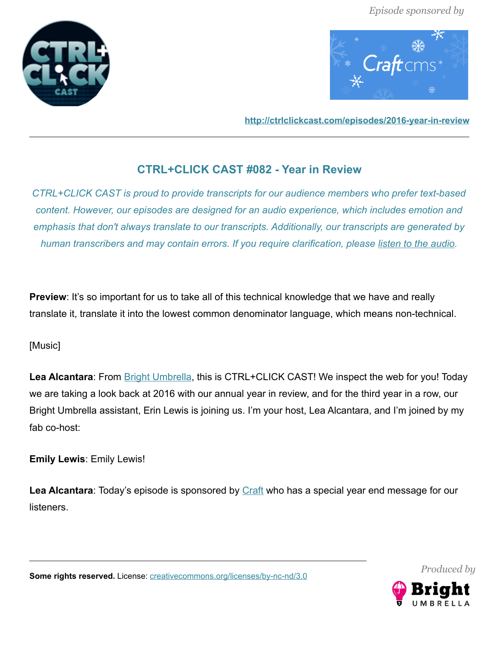



**<http://ctrlclickcast.com/episodes/2016-year-in-review>**

# **CTRL+CLICK CAST #082 - Year in Review**

*CTRL+CLICK CAST is proud to provide transcripts for our audience members who prefer text-based content. However, our episodes are designed for an audio experience, which includes emotion and emphasis that don't always translate to our transcripts. Additionally, our transcripts are generated by human transcribers and may contain errors. If you require clarification, please [listen to the audio.](http://ctrlclickcast.com/episodes/2016-year-in-review)*

**Preview**: It's so important for us to take all of this technical knowledge that we have and really translate it, translate it into the lowest common denominator language, which means non-technical.

# [Music]

**Lea Alcantara**: From [Bright Umbrella,](http://abrightumbrella.com/) this is CTRL+CLICK CAST! We inspect the web for you! Today we are taking a look back at 2016 with our annual year in review, and for the third year in a row, our Bright Umbrella assistant, Erin Lewis is joining us. I'm your host, Lea Alcantara, and I'm joined by my fab co-host:

**Emily Lewis**: Emily Lewis!

Lea Alcantara: Today's episode is sponsored by **Craft** who has a special year end message for our listeners.

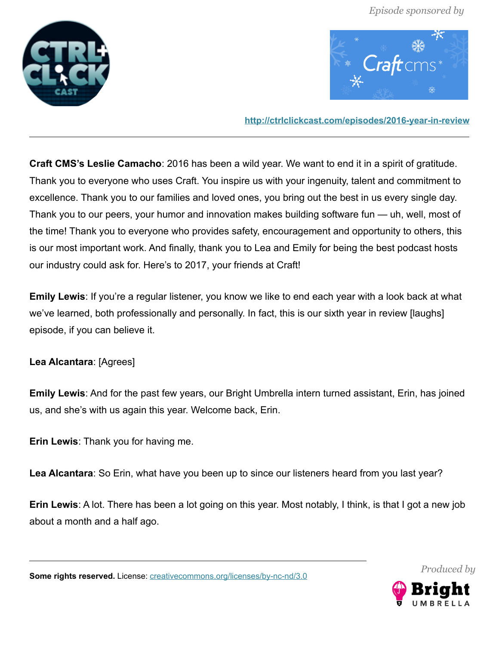



**<http://ctrlclickcast.com/episodes/2016-year-in-review>**

**Craft CMS's Leslie Camacho**: 2016 has been a wild year. We want to end it in a spirit of gratitude. Thank you to everyone who uses Craft. You inspire us with your ingenuity, talent and commitment to excellence. Thank you to our families and loved ones, you bring out the best in us every single day. Thank you to our peers, your humor and innovation makes building software fun — uh, well, most of the time! Thank you to everyone who provides safety, encouragement and opportunity to others, this is our most important work. And finally, thank you to Lea and Emily for being the best podcast hosts our industry could ask for. Here's to 2017, your friends at Craft!

**Emily Lewis**: If you're a regular listener, you know we like to end each year with a look back at what we've learned, both professionally and personally. In fact, this is our sixth year in review [laughs] episode, if you can believe it.

# **Lea Alcantara**: [Agrees]

**Emily Lewis**: And for the past few years, our Bright Umbrella intern turned assistant, Erin, has joined us, and she's with us again this year. Welcome back, Erin.

**Erin Lewis**: Thank you for having me.

**Lea Alcantara**: So Erin, what have you been up to since our listeners heard from you last year?

**Erin Lewis**: A lot. There has been a lot going on this year. Most notably, I think, is that I got a new job about a month and a half ago.

**Some rights reserved.** License: [creativecommons.org/licenses/by-nc-nd/3.0](http://creativecommons.org/licenses/by-nc-nd/3.0/)



*Produced by*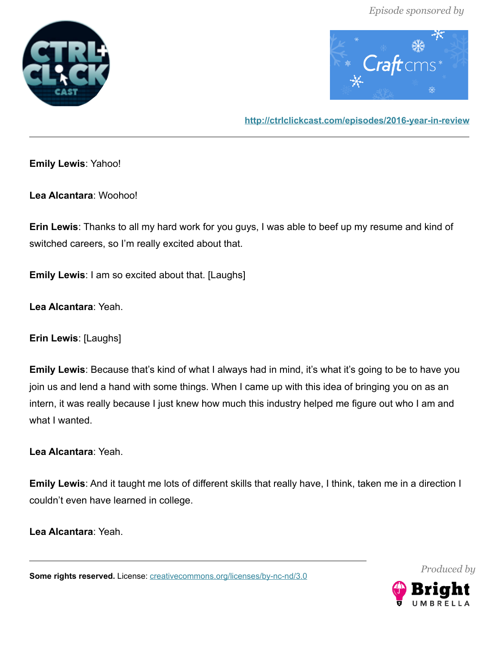



**<http://ctrlclickcast.com/episodes/2016-year-in-review>**

**Emily Lewis**: Yahoo!

**Lea Alcantara**: Woohoo!

**Erin Lewis**: Thanks to all my hard work for you guys, I was able to beef up my resume and kind of switched careers, so I'm really excited about that.

**Emily Lewis**: I am so excited about that. [Laughs]

**Lea Alcantara**: Yeah.

**Erin Lewis**: [Laughs]

**Emily Lewis**: Because that's kind of what I always had in mind, it's what it's going to be to have you join us and lend a hand with some things. When I came up with this idea of bringing you on as an intern, it was really because I just knew how much this industry helped me figure out who I am and what I wanted.

**Lea Alcantara**: Yeah.

**Emily Lewis**: And it taught me lots of different skills that really have, I think, taken me in a direction I couldn't even have learned in college.

**Lea Alcantara**: Yeah.

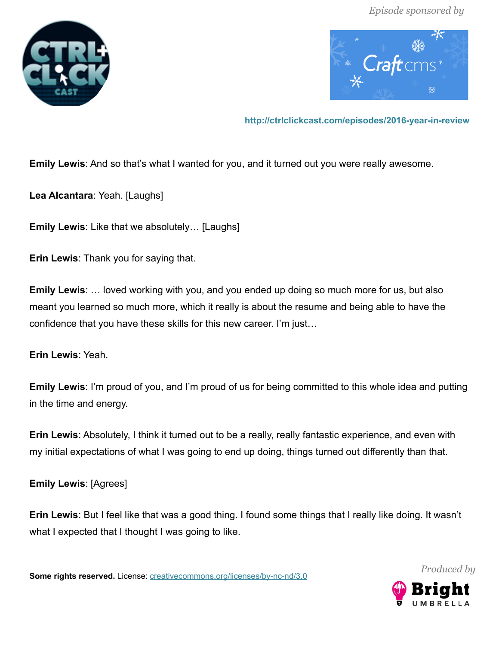



**<http://ctrlclickcast.com/episodes/2016-year-in-review>**

**Emily Lewis**: And so that's what I wanted for you, and it turned out you were really awesome.

**Lea Alcantara**: Yeah. [Laughs]

**Emily Lewis**: Like that we absolutely… [Laughs]

**Erin Lewis**: Thank you for saying that.

**Emily Lewis**: … loved working with you, and you ended up doing so much more for us, but also meant you learned so much more, which it really is about the resume and being able to have the confidence that you have these skills for this new career. I'm just…

**Erin Lewis**: Yeah.

**Emily Lewis**: I'm proud of you, and I'm proud of us for being committed to this whole idea and putting in the time and energy.

**Erin Lewis**: Absolutely, I think it turned out to be a really, really fantastic experience, and even with my initial expectations of what I was going to end up doing, things turned out differently than that.

**Emily Lewis**: [Agrees]

**Erin Lewis**: But I feel like that was a good thing. I found some things that I really like doing. It wasn't what I expected that I thought I was going to like.

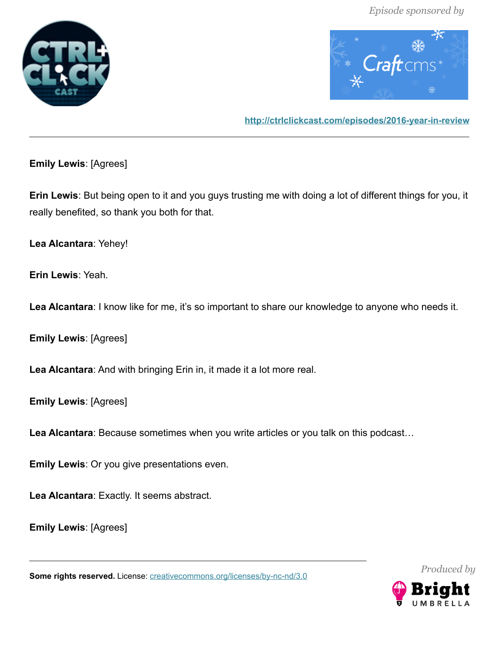



**<http://ctrlclickcast.com/episodes/2016-year-in-review>**

**Emily Lewis**: [Agrees]

**Erin Lewis**: But being open to it and you guys trusting me with doing a lot of different things for you, it really benefited, so thank you both for that.

**Lea Alcantara**: Yehey!

**Erin Lewis**: Yeah.

Lea Alcantara: I know like for me, it's so important to share our knowledge to anyone who needs it.

**Emily Lewis**: [Agrees]

**Lea Alcantara**: And with bringing Erin in, it made it a lot more real.

**Emily Lewis**: [Agrees]

**Lea Alcantara**: Because sometimes when you write articles or you talk on this podcast…

**Emily Lewis**: Or you give presentations even.

**Lea Alcantara**: Exactly. It seems abstract.

**Emily Lewis**: [Agrees]

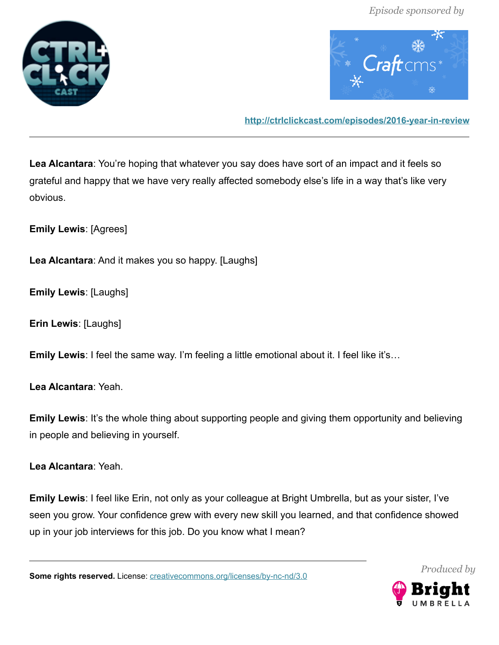



**<http://ctrlclickcast.com/episodes/2016-year-in-review>**

**Lea Alcantara**: You're hoping that whatever you say does have sort of an impact and it feels so grateful and happy that we have very really affected somebody else's life in a way that's like very obvious.

**Emily Lewis**: [Agrees]

**Lea Alcantara**: And it makes you so happy. [Laughs]

**Emily Lewis**: [Laughs]

**Erin Lewis**: [Laughs]

**Emily Lewis**: I feel the same way. I'm feeling a little emotional about it. I feel like it's…

**Lea Alcantara**: Yeah.

**Emily Lewis**: It's the whole thing about supporting people and giving them opportunity and believing in people and believing in yourself.

**Lea Alcantara**: Yeah.

**Emily Lewis**: I feel like Erin, not only as your colleague at Bright Umbrella, but as your sister, I've seen you grow. Your confidence grew with every new skill you learned, and that confidence showed up in your job interviews for this job. Do you know what I mean?

Some rights reserved. License: *creativecommons.org/licenses/by-nc-nd/3.0* 



*Produced by*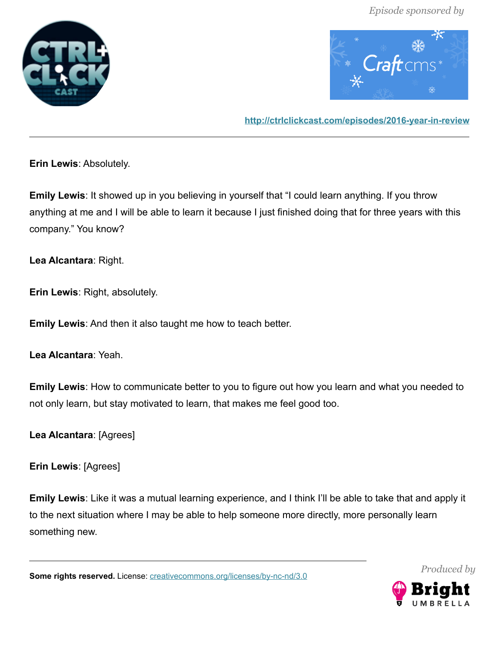



**<http://ctrlclickcast.com/episodes/2016-year-in-review>**

**Erin Lewis**: Absolutely.

**Emily Lewis**: It showed up in you believing in yourself that "I could learn anything. If you throw anything at me and I will be able to learn it because I just finished doing that for three years with this company." You know?

**Lea Alcantara**: Right.

**Erin Lewis**: Right, absolutely.

**Emily Lewis**: And then it also taught me how to teach better.

**Lea Alcantara**: Yeah.

**Emily Lewis**: How to communicate better to you to figure out how you learn and what you needed to not only learn, but stay motivated to learn, that makes me feel good too.

**Lea Alcantara**: [Agrees]

**Erin Lewis**: [Agrees]

**Emily Lewis**: Like it was a mutual learning experience, and I think I'll be able to take that and apply it to the next situation where I may be able to help someone more directly, more personally learn something new.

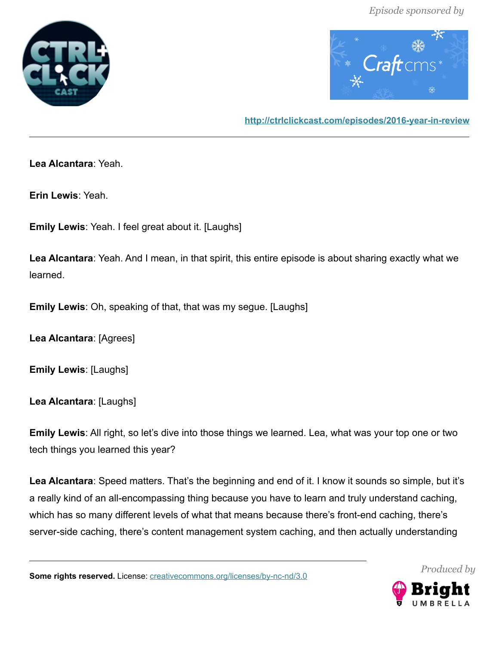



**<http://ctrlclickcast.com/episodes/2016-year-in-review>**

**Lea Alcantara**: Yeah.

**Erin Lewis**: Yeah.

**Emily Lewis**: Yeah. I feel great about it. [Laughs]

**Lea Alcantara**: Yeah. And I mean, in that spirit, this entire episode is about sharing exactly what we learned.

**Emily Lewis**: Oh, speaking of that, that was my segue. [Laughs]

**Lea Alcantara**: [Agrees]

**Emily Lewis**: [Laughs]

**Lea Alcantara**: [Laughs]

**Emily Lewis**: All right, so let's dive into those things we learned. Lea, what was your top one or two tech things you learned this year?

**Lea Alcantara**: Speed matters. That's the beginning and end of it. I know it sounds so simple, but it's a really kind of an all-encompassing thing because you have to learn and truly understand caching, which has so many different levels of what that means because there's front-end caching, there's server-side caching, there's content management system caching, and then actually understanding

Some rights reserved. License: *creativecommons.org/licenses/by-nc-nd/3.0* 



*Produced by*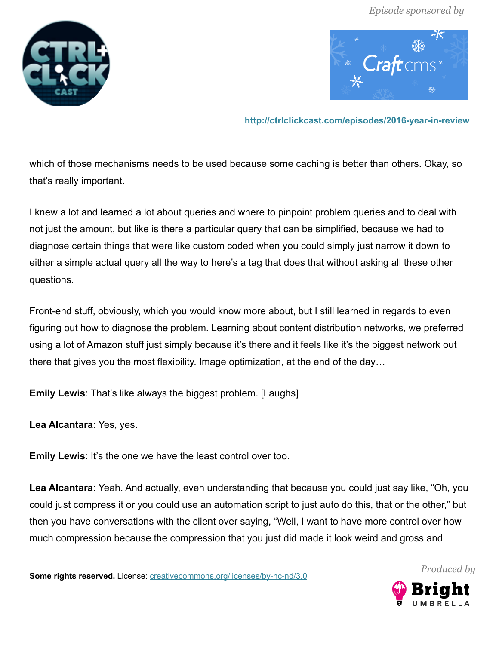



**<http://ctrlclickcast.com/episodes/2016-year-in-review>**

which of those mechanisms needs to be used because some caching is better than others. Okay, so that's really important.

I knew a lot and learned a lot about queries and where to pinpoint problem queries and to deal with not just the amount, but like is there a particular query that can be simplified, because we had to diagnose certain things that were like custom coded when you could simply just narrow it down to either a simple actual query all the way to here's a tag that does that without asking all these other questions.

Front-end stuff, obviously, which you would know more about, but I still learned in regards to even figuring out how to diagnose the problem. Learning about content distribution networks, we preferred using a lot of Amazon stuff just simply because it's there and it feels like it's the biggest network out there that gives you the most flexibility. Image optimization, at the end of the day…

**Emily Lewis**: That's like always the biggest problem. [Laughs]

**Lea Alcantara**: Yes, yes.

**Emily Lewis**: It's the one we have the least control over too.

**Lea Alcantara**: Yeah. And actually, even understanding that because you could just say like, "Oh, you could just compress it or you could use an automation script to just auto do this, that or the other," but then you have conversations with the client over saying, "Well, I want to have more control over how much compression because the compression that you just did made it look weird and gross and

**Some rights reserved.** License: [creativecommons.org/licenses/by-nc-nd/3.0](http://creativecommons.org/licenses/by-nc-nd/3.0/)



*Produced by*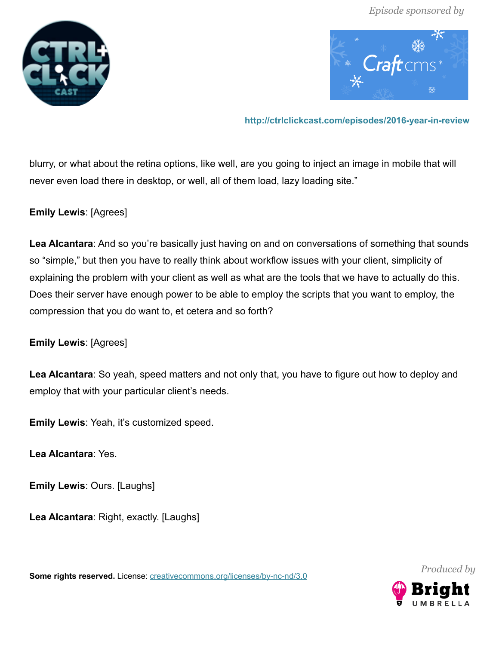



**<http://ctrlclickcast.com/episodes/2016-year-in-review>**

blurry, or what about the retina options, like well, are you going to inject an image in mobile that will never even load there in desktop, or well, all of them load, lazy loading site."

**Emily Lewis**: [Agrees]

**Lea Alcantara**: And so you're basically just having on and on conversations of something that sounds so "simple," but then you have to really think about workflow issues with your client, simplicity of explaining the problem with your client as well as what are the tools that we have to actually do this. Does their server have enough power to be able to employ the scripts that you want to employ, the compression that you do want to, et cetera and so forth?

# **Emily Lewis**: [Agrees]

**Lea Alcantara**: So yeah, speed matters and not only that, you have to figure out how to deploy and employ that with your particular client's needs.

**Emily Lewis**: Yeah, it's customized speed.

**Lea Alcantara**: Yes.

**Emily Lewis**: Ours. [Laughs]

**Lea Alcantara**: Right, exactly. [Laughs]

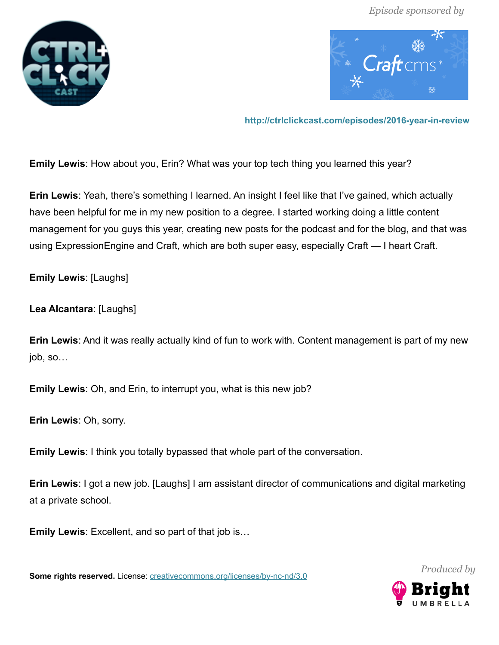



**<http://ctrlclickcast.com/episodes/2016-year-in-review>**

**Emily Lewis**: How about you, Erin? What was your top tech thing you learned this year?

**Erin Lewis**: Yeah, there's something I learned. An insight I feel like that I've gained, which actually have been helpful for me in my new position to a degree. I started working doing a little content management for you guys this year, creating new posts for the podcast and for the blog, and that was using ExpressionEngine and Craft, which are both super easy, especially Craft — I heart Craft.

**Emily Lewis**: [Laughs]

**Lea Alcantara**: [Laughs]

**Erin Lewis**: And it was really actually kind of fun to work with. Content management is part of my new job, so…

**Emily Lewis**: Oh, and Erin, to interrupt you, what is this new job?

**Erin Lewis**: Oh, sorry.

**Emily Lewis**: I think you totally bypassed that whole part of the conversation.

**Erin Lewis**: I got a new job. [Laughs] I am assistant director of communications and digital marketing at a private school.

**Emily Lewis**: Excellent, and so part of that job is…

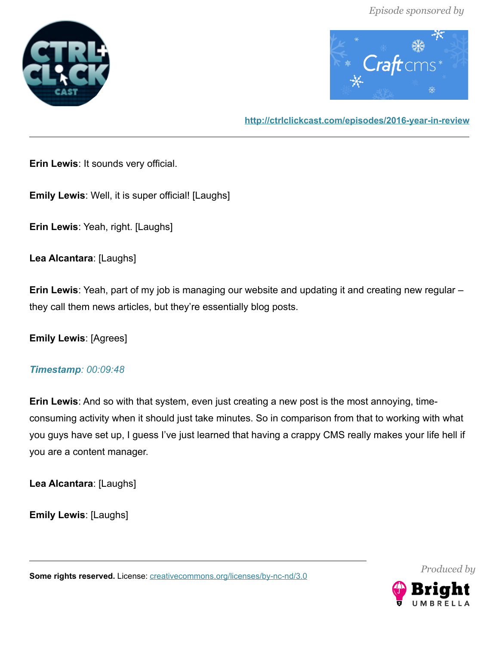



### **<http://ctrlclickcast.com/episodes/2016-year-in-review>**

**Erin Lewis**: It sounds very official.

**Emily Lewis**: Well, it is super official! [Laughs]

**Erin Lewis**: Yeah, right. [Laughs]

**Lea Alcantara**: [Laughs]

**Erin Lewis**: Yeah, part of my job is managing our website and updating it and creating new regular – they call them news articles, but they're essentially blog posts.

**Emily Lewis**: [Agrees]

#### *Timestamp: 00:09:48*

**Erin Lewis**: And so with that system, even just creating a new post is the most annoying, timeconsuming activity when it should just take minutes. So in comparison from that to working with what you guys have set up, I guess I've just learned that having a crappy CMS really makes your life hell if you are a content manager.

**Lea Alcantara**: [Laughs]

**Emily Lewis**: [Laughs]

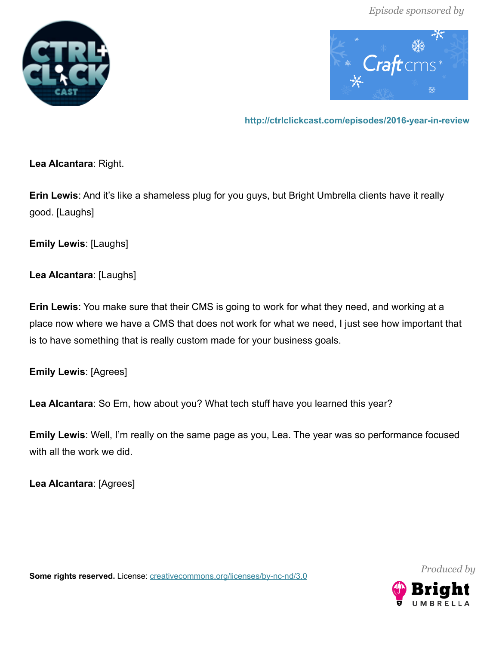



**<http://ctrlclickcast.com/episodes/2016-year-in-review>**

**Lea Alcantara**: Right.

**Erin Lewis**: And it's like a shameless plug for you guys, but Bright Umbrella clients have it really good. [Laughs]

**Emily Lewis**: [Laughs]

**Lea Alcantara**: [Laughs]

**Erin Lewis**: You make sure that their CMS is going to work for what they need, and working at a place now where we have a CMS that does not work for what we need, I just see how important that is to have something that is really custom made for your business goals.

**Emily Lewis**: [Agrees]

**Lea Alcantara**: So Em, how about you? What tech stuff have you learned this year?

**Emily Lewis**: Well, I'm really on the same page as you, Lea. The year was so performance focused with all the work we did.

**Lea Alcantara**: [Agrees]

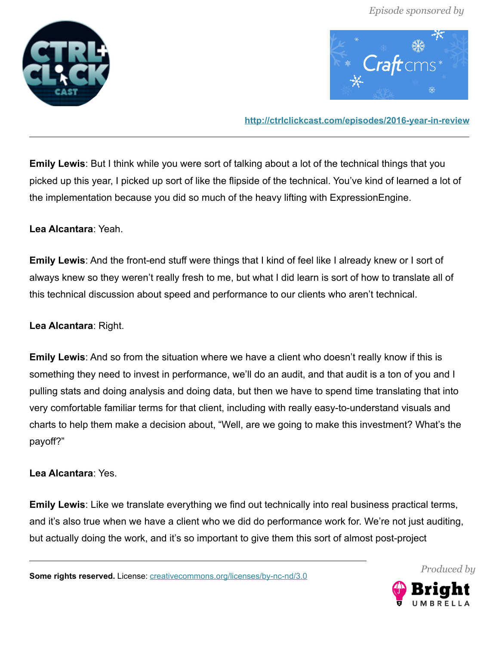



**<http://ctrlclickcast.com/episodes/2016-year-in-review>**

**Emily Lewis**: But I think while you were sort of talking about a lot of the technical things that you picked up this year, I picked up sort of like the flipside of the technical. You've kind of learned a lot of the implementation because you did so much of the heavy lifting with ExpressionEngine.

# **Lea Alcantara**: Yeah.

**Emily Lewis**: And the front-end stuff were things that I kind of feel like I already knew or I sort of always knew so they weren't really fresh to me, but what I did learn is sort of how to translate all of this technical discussion about speed and performance to our clients who aren't technical.

# **Lea Alcantara**: Right.

**Emily Lewis**: And so from the situation where we have a client who doesn't really know if this is something they need to invest in performance, we'll do an audit, and that audit is a ton of you and I pulling stats and doing analysis and doing data, but then we have to spend time translating that into very comfortable familiar terms for that client, including with really easy-to-understand visuals and charts to help them make a decision about, "Well, are we going to make this investment? What's the payoff?"

# **Lea Alcantara**: Yes.

**Emily Lewis**: Like we translate everything we find out technically into real business practical terms, and it's also true when we have a client who we did do performance work for. We're not just auditing, but actually doing the work, and it's so important to give them this sort of almost post-project

**Some rights reserved.** License: [creativecommons.org/licenses/by-nc-nd/3.0](http://creativecommons.org/licenses/by-nc-nd/3.0/)



*Produced by*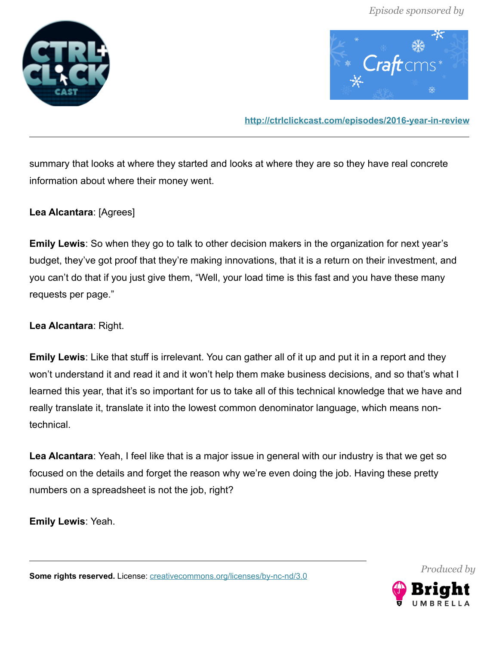



**<http://ctrlclickcast.com/episodes/2016-year-in-review>**

summary that looks at where they started and looks at where they are so they have real concrete information about where their money went.

**Lea Alcantara**: [Agrees]

**Emily Lewis**: So when they go to talk to other decision makers in the organization for next year's budget, they've got proof that they're making innovations, that it is a return on their investment, and you can't do that if you just give them, "Well, your load time is this fast and you have these many requests per page."

**Lea Alcantara**: Right.

**Emily Lewis**: Like that stuff is irrelevant. You can gather all of it up and put it in a report and they won't understand it and read it and it won't help them make business decisions, and so that's what I learned this year, that it's so important for us to take all of this technical knowledge that we have and really translate it, translate it into the lowest common denominator language, which means nontechnical.

**Lea Alcantara**: Yeah, I feel like that is a major issue in general with our industry is that we get so focused on the details and forget the reason why we're even doing the job. Having these pretty numbers on a spreadsheet is not the job, right?

**Emily Lewis**: Yeah.



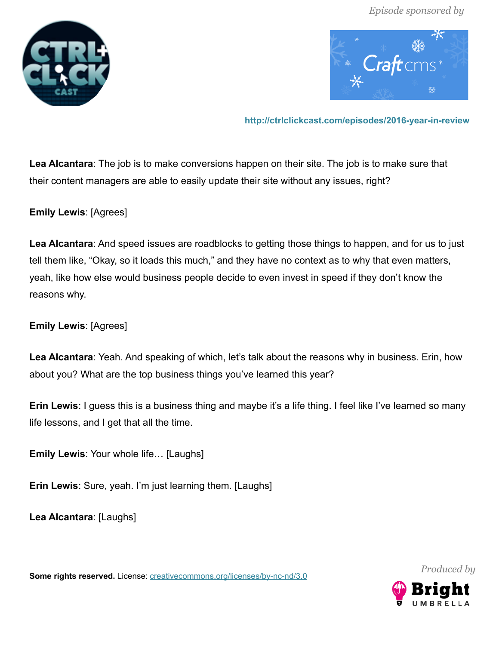



**<http://ctrlclickcast.com/episodes/2016-year-in-review>**

**Lea Alcantara**: The job is to make conversions happen on their site. The job is to make sure that their content managers are able to easily update their site without any issues, right?

**Emily Lewis**: [Agrees]

**Lea Alcantara**: And speed issues are roadblocks to getting those things to happen, and for us to just tell them like, "Okay, so it loads this much," and they have no context as to why that even matters, yeah, like how else would business people decide to even invest in speed if they don't know the reasons why.

**Emily Lewis**: [Agrees]

**Lea Alcantara**: Yeah. And speaking of which, let's talk about the reasons why in business. Erin, how about you? What are the top business things you've learned this year?

**Erin Lewis**: I guess this is a business thing and maybe it's a life thing. I feel like I've learned so many life lessons, and I get that all the time.

**Emily Lewis**: Your whole life… [Laughs]

**Erin Lewis**: Sure, yeah. I'm just learning them. [Laughs]

**Lea Alcantara**: [Laughs]

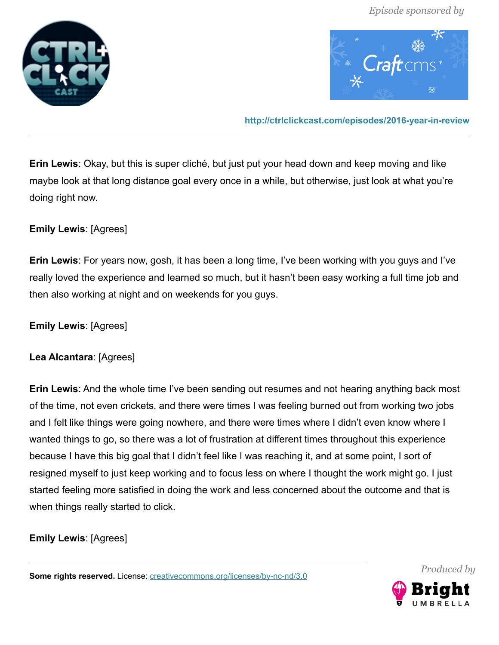



**<http://ctrlclickcast.com/episodes/2016-year-in-review>**

**Erin Lewis**: Okay, but this is super cliché, but just put your head down and keep moving and like maybe look at that long distance goal every once in a while, but otherwise, just look at what you're doing right now.

# **Emily Lewis**: [Agrees]

**Erin Lewis**: For years now, gosh, it has been a long time, I've been working with you guys and I've really loved the experience and learned so much, but it hasn't been easy working a full time job and then also working at night and on weekends for you guys.

**Emily Lewis**: [Agrees]

# **Lea Alcantara**: [Agrees]

**Erin Lewis**: And the whole time I've been sending out resumes and not hearing anything back most of the time, not even crickets, and there were times I was feeling burned out from working two jobs and I felt like things were going nowhere, and there were times where I didn't even know where I wanted things to go, so there was a lot of frustration at different times throughout this experience because I have this big goal that I didn't feel like I was reaching it, and at some point, I sort of resigned myself to just keep working and to focus less on where I thought the work might go. I just started feeling more satisfied in doing the work and less concerned about the outcome and that is when things really started to click.

**Emily Lewis**: [Agrees]

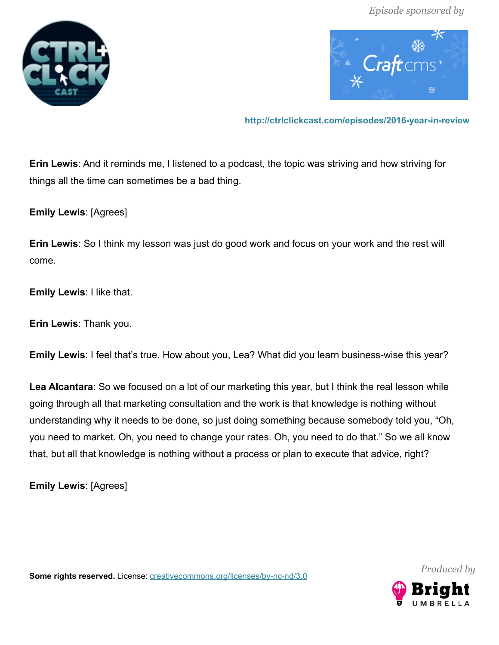



**<http://ctrlclickcast.com/episodes/2016-year-in-review>**

**Erin Lewis**: And it reminds me, I listened to a podcast, the topic was striving and how striving for things all the time can sometimes be a bad thing.

**Emily Lewis**: [Agrees]

**Erin Lewis**: So I think my lesson was just do good work and focus on your work and the rest will come.

**Emily Lewis**: I like that.

**Erin Lewis**: Thank you.

**Emily Lewis**: I feel that's true. How about you, Lea? What did you learn business-wise this year?

**Lea Alcantara**: So we focused on a lot of our marketing this year, but I think the real lesson while going through all that marketing consultation and the work is that knowledge is nothing without understanding why it needs to be done, so just doing something because somebody told you, "Oh, you need to market. Oh, you need to change your rates. Oh, you need to do that." So we all know that, but all that knowledge is nothing without a process or plan to execute that advice, right?

**Emily Lewis**: [Agrees]

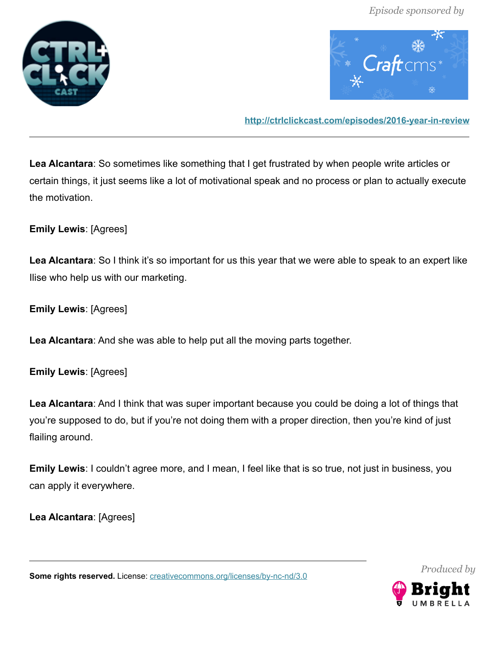



**<http://ctrlclickcast.com/episodes/2016-year-in-review>**

**Lea Alcantara**: So sometimes like something that I get frustrated by when people write articles or certain things, it just seems like a lot of motivational speak and no process or plan to actually execute the motivation.

**Emily Lewis**: [Agrees]

Lea Alcantara: So I think it's so important for us this year that we were able to speak to an expert like Ilise who help us with our marketing.

**Emily Lewis**: [Agrees]

**Lea Alcantara**: And she was able to help put all the moving parts together.

**Emily Lewis**: [Agrees]

**Lea Alcantara**: And I think that was super important because you could be doing a lot of things that you're supposed to do, but if you're not doing them with a proper direction, then you're kind of just flailing around.

**Emily Lewis**: I couldn't agree more, and I mean, I feel like that is so true, not just in business, you can apply it everywhere.

**Lea Alcantara**: [Agrees]

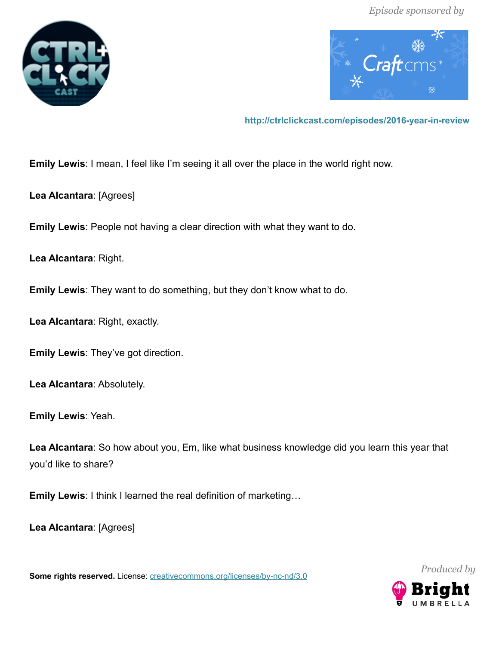



**<http://ctrlclickcast.com/episodes/2016-year-in-review>**

**Emily Lewis**: I mean, I feel like I'm seeing it all over the place in the world right now.

**Lea Alcantara**: [Agrees]

**Emily Lewis**: People not having a clear direction with what they want to do.

**Lea Alcantara**: Right.

**Emily Lewis**: They want to do something, but they don't know what to do.

**Lea Alcantara**: Right, exactly.

**Emily Lewis**: They've got direction.

**Lea Alcantara**: Absolutely.

**Emily Lewis**: Yeah.

**Lea Alcantara**: So how about you, Em, like what business knowledge did you learn this year that you'd like to share?

**Emily Lewis**: I think I learned the real definition of marketing…

**Lea Alcantara**: [Agrees]

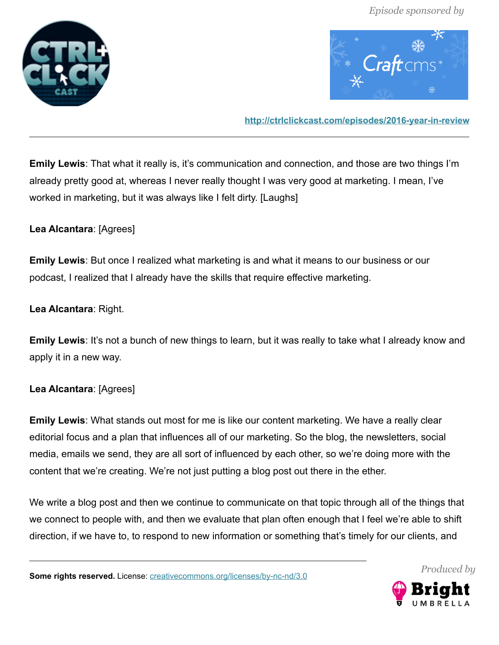



**<http://ctrlclickcast.com/episodes/2016-year-in-review>**

**Emily Lewis**: That what it really is, it's communication and connection, and those are two things I'm already pretty good at, whereas I never really thought I was very good at marketing. I mean, I've worked in marketing, but it was always like I felt dirty. [Laughs]

# **Lea Alcantara**: [Agrees]

**Emily Lewis**: But once I realized what marketing is and what it means to our business or our podcast, I realized that I already have the skills that require effective marketing.

### **Lea Alcantara**: Right.

**Emily Lewis:** It's not a bunch of new things to learn, but it was really to take what I already know and apply it in a new way.

# **Lea Alcantara**: [Agrees]

**Emily Lewis**: What stands out most for me is like our content marketing. We have a really clear editorial focus and a plan that influences all of our marketing. So the blog, the newsletters, social media, emails we send, they are all sort of influenced by each other, so we're doing more with the content that we're creating. We're not just putting a blog post out there in the ether.

We write a blog post and then we continue to communicate on that topic through all of the things that we connect to people with, and then we evaluate that plan often enough that I feel we're able to shift direction, if we have to, to respond to new information or something that's timely for our clients, and



*Produced by*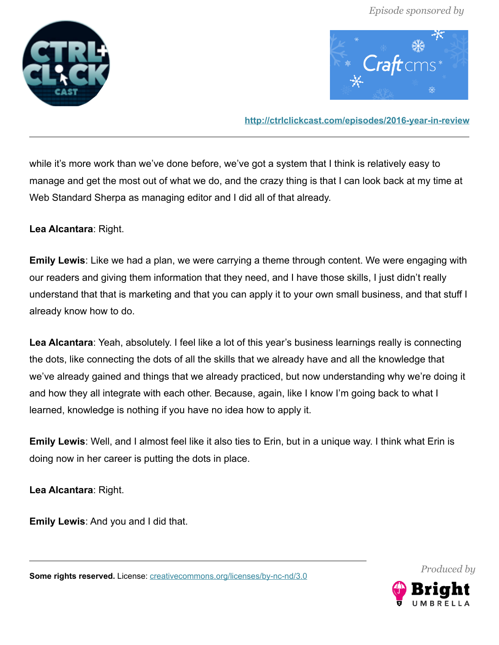



**<http://ctrlclickcast.com/episodes/2016-year-in-review>**

while it's more work than we've done before, we've got a system that I think is relatively easy to manage and get the most out of what we do, and the crazy thing is that I can look back at my time at Web Standard Sherpa as managing editor and I did all of that already.

**Lea Alcantara**: Right.

**Emily Lewis**: Like we had a plan, we were carrying a theme through content. We were engaging with our readers and giving them information that they need, and I have those skills, I just didn't really understand that that is marketing and that you can apply it to your own small business, and that stuff I already know how to do.

**Lea Alcantara**: Yeah, absolutely. I feel like a lot of this year's business learnings really is connecting the dots, like connecting the dots of all the skills that we already have and all the knowledge that we've already gained and things that we already practiced, but now understanding why we're doing it and how they all integrate with each other. Because, again, like I know I'm going back to what I learned, knowledge is nothing if you have no idea how to apply it.

**Emily Lewis**: Well, and I almost feel like it also ties to Erin, but in a unique way. I think what Erin is doing now in her career is putting the dots in place.

**Lea Alcantara**: Right.

**Emily Lewis**: And you and I did that.

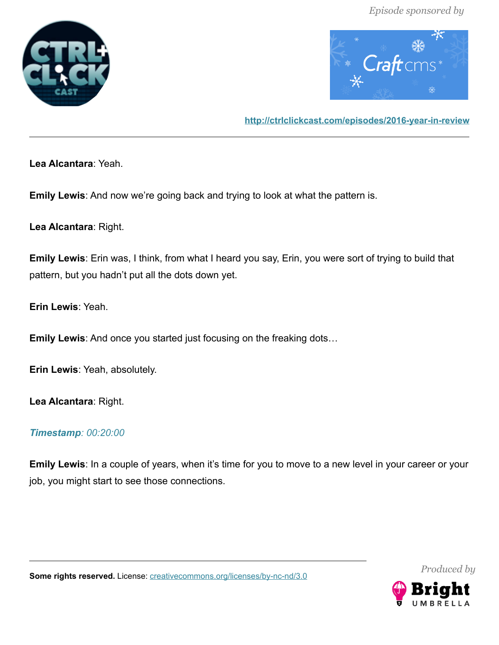



**<http://ctrlclickcast.com/episodes/2016-year-in-review>**

**Lea Alcantara**: Yeah.

**Emily Lewis**: And now we're going back and trying to look at what the pattern is.

**Lea Alcantara**: Right.

**Emily Lewis**: Erin was, I think, from what I heard you say, Erin, you were sort of trying to build that pattern, but you hadn't put all the dots down yet.

**Erin Lewis**: Yeah.

**Emily Lewis**: And once you started just focusing on the freaking dots…

**Erin Lewis**: Yeah, absolutely.

**Lea Alcantara**: Right.

#### *Timestamp: 00:20:00*

**Emily Lewis**: In a couple of years, when it's time for you to move to a new level in your career or your job, you might start to see those connections.



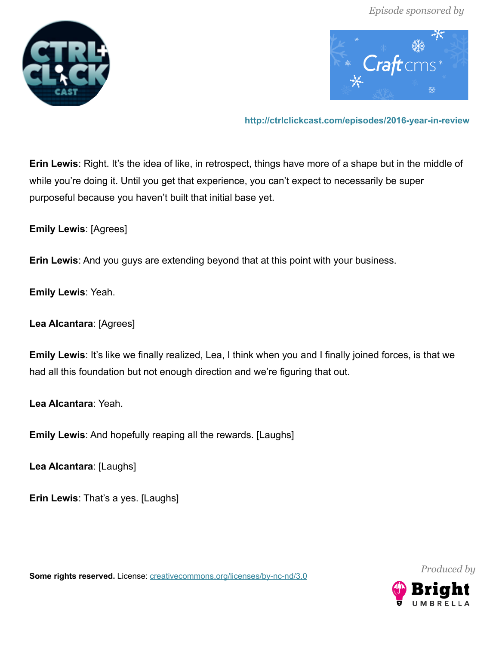



**<http://ctrlclickcast.com/episodes/2016-year-in-review>**

**Erin Lewis**: Right. It's the idea of like, in retrospect, things have more of a shape but in the middle of while you're doing it. Until you get that experience, you can't expect to necessarily be super purposeful because you haven't built that initial base yet.

**Emily Lewis**: [Agrees]

**Erin Lewis**: And you guys are extending beyond that at this point with your business.

**Emily Lewis**: Yeah.

**Lea Alcantara**: [Agrees]

**Emily Lewis**: It's like we finally realized, Lea, I think when you and I finally joined forces, is that we had all this foundation but not enough direction and we're figuring that out.

**Lea Alcantara**: Yeah.

**Emily Lewis**: And hopefully reaping all the rewards. [Laughs]

**Lea Alcantara**: [Laughs]

**Erin Lewis**: That's a yes. [Laughs]

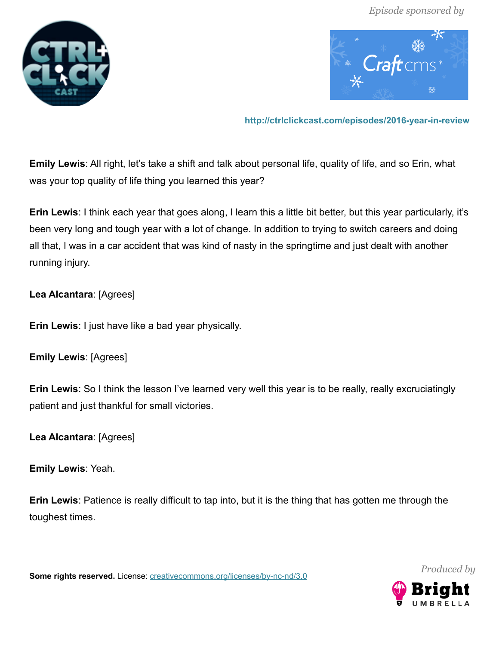



**<http://ctrlclickcast.com/episodes/2016-year-in-review>**

**Emily Lewis**: All right, let's take a shift and talk about personal life, quality of life, and so Erin, what was your top quality of life thing you learned this year?

**Erin Lewis**: I think each year that goes along, I learn this a little bit better, but this year particularly, it's been very long and tough year with a lot of change. In addition to trying to switch careers and doing all that, I was in a car accident that was kind of nasty in the springtime and just dealt with another running injury.

**Lea Alcantara**: [Agrees]

**Erin Lewis**: I just have like a bad year physically.

**Emily Lewis**: [Agrees]

**Erin Lewis**: So I think the lesson I've learned very well this year is to be really, really excruciatingly patient and just thankful for small victories.

**Lea Alcantara**: [Agrees]

**Emily Lewis**: Yeah.

**Erin Lewis**: Patience is really difficult to tap into, but it is the thing that has gotten me through the toughest times.

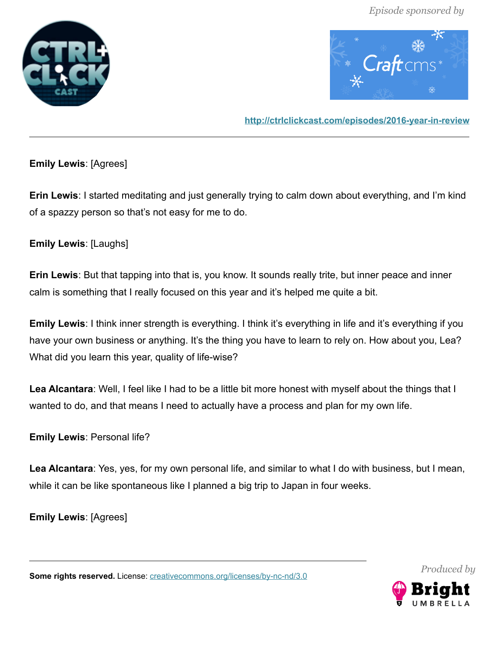



**<http://ctrlclickcast.com/episodes/2016-year-in-review>**

# **Emily Lewis**: [Agrees]

**Erin Lewis**: I started meditating and just generally trying to calm down about everything, and I'm kind of a spazzy person so that's not easy for me to do.

# **Emily Lewis**: [Laughs]

**Erin Lewis**: But that tapping into that is, you know. It sounds really trite, but inner peace and inner calm is something that I really focused on this year and it's helped me quite a bit.

**Emily Lewis**: I think inner strength is everything. I think it's everything in life and it's everything if you have your own business or anything. It's the thing you have to learn to rely on. How about you, Lea? What did you learn this year, quality of life-wise?

**Lea Alcantara**: Well, I feel like I had to be a little bit more honest with myself about the things that I wanted to do, and that means I need to actually have a process and plan for my own life.

**Emily Lewis**: Personal life?

**Lea Alcantara**: Yes, yes, for my own personal life, and similar to what I do with business, but I mean, while it can be like spontaneous like I planned a big trip to Japan in four weeks.

**Emily Lewis**: [Agrees]

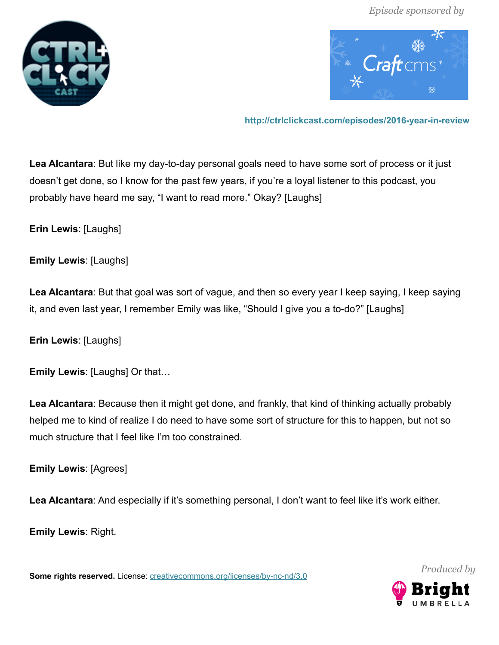



**<http://ctrlclickcast.com/episodes/2016-year-in-review>**

**Lea Alcantara**: But like my day-to-day personal goals need to have some sort of process or it just doesn't get done, so I know for the past few years, if you're a loyal listener to this podcast, you probably have heard me say, "I want to read more." Okay? [Laughs]

**Erin Lewis**: [Laughs]

**Emily Lewis**: [Laughs]

**Lea Alcantara**: But that goal was sort of vague, and then so every year I keep saying, I keep saying it, and even last year, I remember Emily was like, "Should I give you a to-do?" [Laughs]

**Erin Lewis**: [Laughs]

**Emily Lewis**: [Laughs] Or that…

**Lea Alcantara**: Because then it might get done, and frankly, that kind of thinking actually probably helped me to kind of realize I do need to have some sort of structure for this to happen, but not so much structure that I feel like I'm too constrained.

**Emily Lewis**: [Agrees]

Lea Alcantara: And especially if it's something personal, I don't want to feel like it's work either.

**Emily Lewis**: Right.

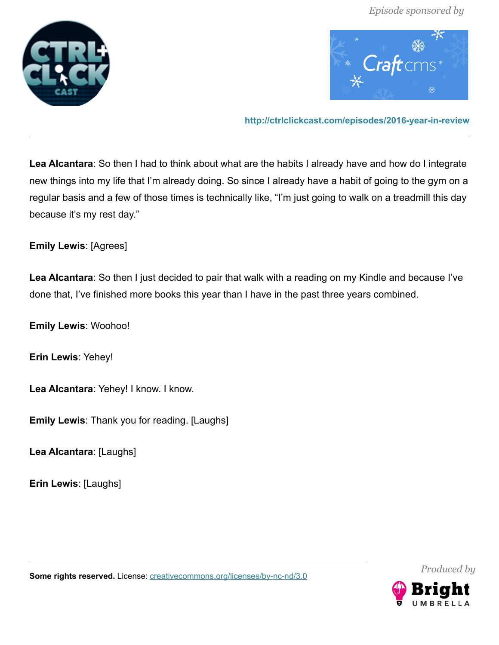



**<http://ctrlclickcast.com/episodes/2016-year-in-review>**

**Lea Alcantara**: So then I had to think about what are the habits I already have and how do I integrate new things into my life that I'm already doing. So since I already have a habit of going to the gym on a regular basis and a few of those times is technically like, "I'm just going to walk on a treadmill this day because it's my rest day."

**Emily Lewis**: [Agrees]

**Lea Alcantara**: So then I just decided to pair that walk with a reading on my Kindle and because I've done that, I've finished more books this year than I have in the past three years combined.

**Emily Lewis**: Woohoo!

**Erin Lewis**: Yehey!

**Lea Alcantara**: Yehey! I know. I know.

**Emily Lewis**: Thank you for reading. [Laughs]

**Lea Alcantara**: [Laughs]

**Erin Lewis**: [Laughs]



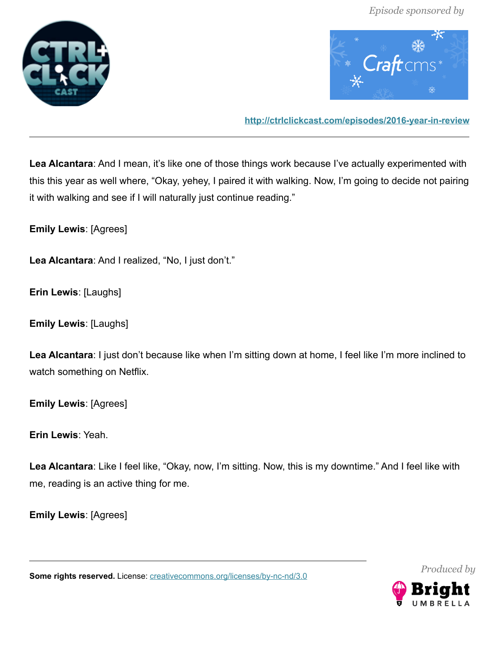



**<http://ctrlclickcast.com/episodes/2016-year-in-review>**

**Lea Alcantara**: And I mean, it's like one of those things work because I've actually experimented with this this year as well where, "Okay, yehey, I paired it with walking. Now, I'm going to decide not pairing it with walking and see if I will naturally just continue reading."

**Emily Lewis**: [Agrees]

**Lea Alcantara**: And I realized, "No, I just don't."

**Erin Lewis**: [Laughs]

**Emily Lewis**: [Laughs]

**Lea Alcantara**: I just don't because like when I'm sitting down at home, I feel like I'm more inclined to watch something on Netflix.

**Emily Lewis**: [Agrees]

**Erin Lewis**: Yeah.

**Lea Alcantara**: Like I feel like, "Okay, now, I'm sitting. Now, this is my downtime." And I feel like with me, reading is an active thing for me.

**Emily Lewis**: [Agrees]

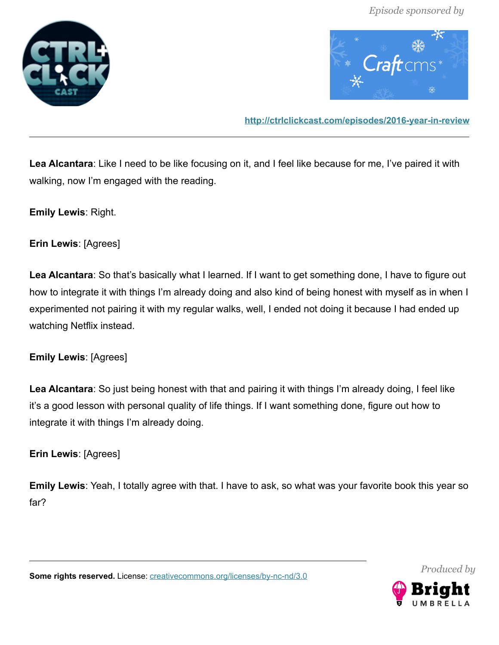



**<http://ctrlclickcast.com/episodes/2016-year-in-review>**

**Lea Alcantara**: Like I need to be like focusing on it, and I feel like because for me, I've paired it with walking, now I'm engaged with the reading.

**Emily Lewis**: Right.

**Erin Lewis**: [Agrees]

**Lea Alcantara**: So that's basically what I learned. If I want to get something done, I have to figure out how to integrate it with things I'm already doing and also kind of being honest with myself as in when I experimented not pairing it with my regular walks, well, I ended not doing it because I had ended up watching Netflix instead.

**Emily Lewis**: [Agrees]

**Lea Alcantara**: So just being honest with that and pairing it with things I'm already doing, I feel like it's a good lesson with personal quality of life things. If I want something done, figure out how to integrate it with things I'm already doing.

**Erin Lewis**: [Agrees]

**Emily Lewis**: Yeah, I totally agree with that. I have to ask, so what was your favorite book this year so far?

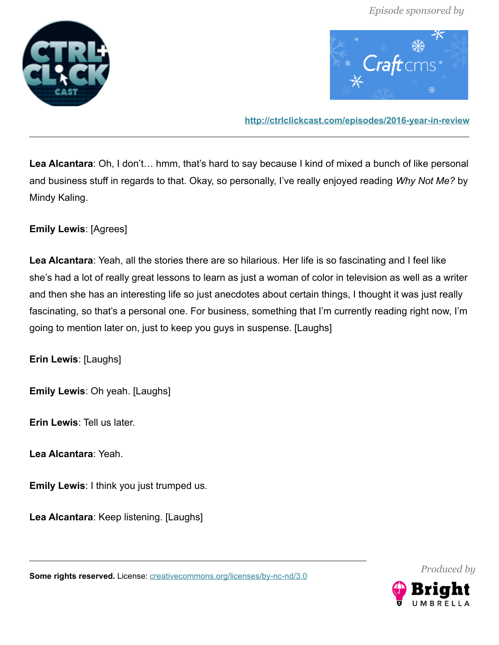



**<http://ctrlclickcast.com/episodes/2016-year-in-review>**

**Lea Alcantara**: Oh, I don't… hmm, that's hard to say because I kind of mixed a bunch of like personal and business stuff in regards to that. Okay, so personally, I've really enjoyed reading *Why Not Me?* by Mindy Kaling.

**Emily Lewis**: [Agrees]

**Lea Alcantara**: Yeah, all the stories there are so hilarious. Her life is so fascinating and I feel like she's had a lot of really great lessons to learn as just a woman of color in television as well as a writer and then she has an interesting life so just anecdotes about certain things, I thought it was just really fascinating, so that's a personal one. For business, something that I'm currently reading right now, I'm going to mention later on, just to keep you guys in suspense. [Laughs]

**Erin Lewis**: [Laughs]

**Emily Lewis**: Oh yeah. [Laughs]

**Erin Lewis**: Tell us later.

**Lea Alcantara**: Yeah.

**Emily Lewis**: I think you just trumped us.

**Lea Alcantara**: Keep listening. [Laughs]

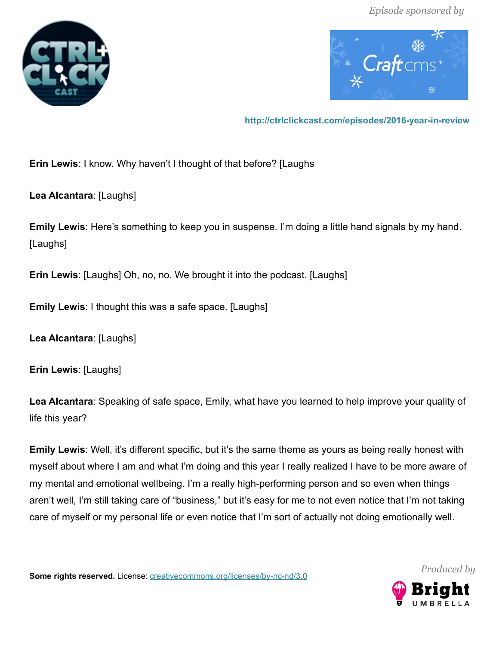



**<http://ctrlclickcast.com/episodes/2016-year-in-review>**

**Erin Lewis**: I know. Why haven't I thought of that before? [Laughs

**Lea Alcantara**: [Laughs]

**Emily Lewis**: Here's something to keep you in suspense. I'm doing a little hand signals by my hand. [Laughs]

**Erin Lewis**: [Laughs] Oh, no, no. We brought it into the podcast. [Laughs]

**Emily Lewis**: I thought this was a safe space. [Laughs]

**Lea Alcantara**: [Laughs]

**Erin Lewis**: [Laughs]

**Lea Alcantara**: Speaking of safe space, Emily, what have you learned to help improve your quality of life this year?

**Emily Lewis**: Well, it's different specific, but it's the same theme as yours as being really honest with myself about where I am and what I'm doing and this year I really realized I have to be more aware of my mental and emotional wellbeing. I'm a really high-performing person and so even when things aren't well, I'm still taking care of "business," but it's easy for me to not even notice that I'm not taking care of myself or my personal life or even notice that I'm sort of actually not doing emotionally well.

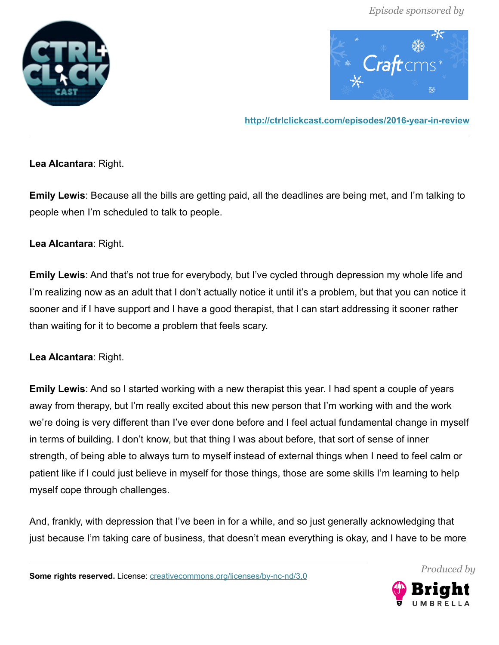



**<http://ctrlclickcast.com/episodes/2016-year-in-review>**

**Lea Alcantara**: Right.

**Emily Lewis**: Because all the bills are getting paid, all the deadlines are being met, and I'm talking to people when I'm scheduled to talk to people.

### **Lea Alcantara**: Right.

**Emily Lewis**: And that's not true for everybody, but I've cycled through depression my whole life and I'm realizing now as an adult that I don't actually notice it until it's a problem, but that you can notice it sooner and if I have support and I have a good therapist, that I can start addressing it sooner rather than waiting for it to become a problem that feels scary.

# **Lea Alcantara**: Right.

**Emily Lewis**: And so I started working with a new therapist this year. I had spent a couple of years away from therapy, but I'm really excited about this new person that I'm working with and the work we're doing is very different than I've ever done before and I feel actual fundamental change in myself in terms of building. I don't know, but that thing I was about before, that sort of sense of inner strength, of being able to always turn to myself instead of external things when I need to feel calm or patient like if I could just believe in myself for those things, those are some skills I'm learning to help myself cope through challenges.

And, frankly, with depression that I've been in for a while, and so just generally acknowledging that just because I'm taking care of business, that doesn't mean everything is okay, and I have to be more

**Some rights reserved.** License: [creativecommons.org/licenses/by-nc-nd/3.0](http://creativecommons.org/licenses/by-nc-nd/3.0/)



*Produced by*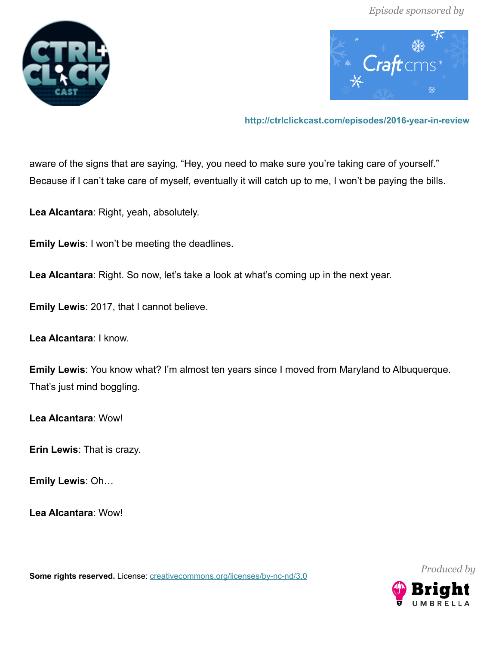



**<http://ctrlclickcast.com/episodes/2016-year-in-review>**

aware of the signs that are saying, "Hey, you need to make sure you're taking care of yourself." Because if I can't take care of myself, eventually it will catch up to me, I won't be paying the bills.

**Lea Alcantara**: Right, yeah, absolutely.

**Emily Lewis**: I won't be meeting the deadlines.

**Lea Alcantara**: Right. So now, let's take a look at what's coming up in the next year.

**Emily Lewis**: 2017, that I cannot believe.

**Lea Alcantara**: I know.

**Emily Lewis**: You know what? I'm almost ten years since I moved from Maryland to Albuquerque. That's just mind boggling.

**Lea Alcantara**: Wow!

**Erin Lewis**: That is crazy.

**Emily Lewis**: Oh…

**Lea Alcantara**: Wow!

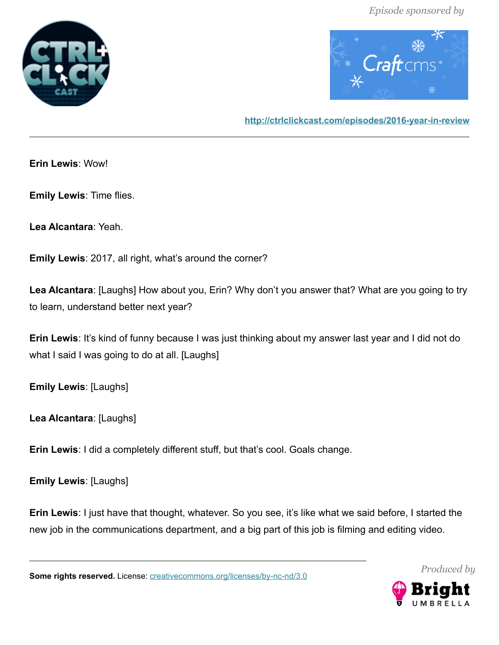



**<http://ctrlclickcast.com/episodes/2016-year-in-review>**

**Erin Lewis**: Wow!

**Emily Lewis**: Time flies.

**Lea Alcantara**: Yeah.

**Emily Lewis**: 2017, all right, what's around the corner?

**Lea Alcantara**: [Laughs] How about you, Erin? Why don't you answer that? What are you going to try to learn, understand better next year?

**Erin Lewis**: It's kind of funny because I was just thinking about my answer last year and I did not do what I said I was going to do at all. [Laughs]

**Emily Lewis**: [Laughs]

**Lea Alcantara**: [Laughs]

**Erin Lewis**: I did a completely different stuff, but that's cool. Goals change.

**Emily Lewis**: [Laughs]

**Erin Lewis**: I just have that thought, whatever. So you see, it's like what we said before, I started the new job in the communications department, and a big part of this job is filming and editing video.

**Some rights reserved.** License: *creativecommons.org/licenses/by-nc-nd/3.0* 



*Produced by*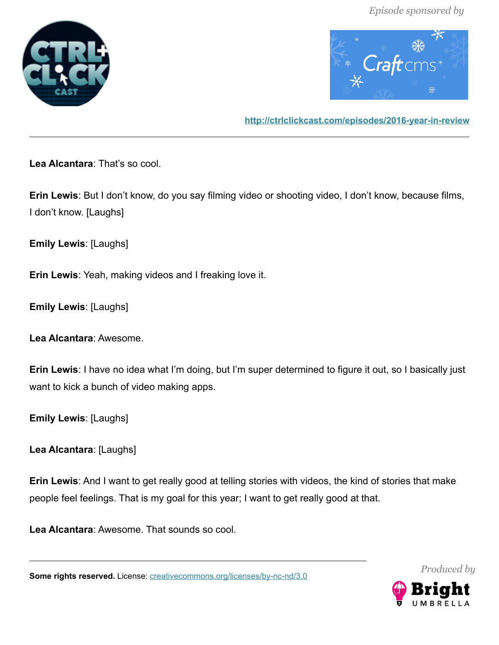



**<http://ctrlclickcast.com/episodes/2016-year-in-review>**

**Lea Alcantara**: That's so cool.

**Erin Lewis**: But I don't know, do you say filming video or shooting video, I don't know, because films, I don't know. [Laughs]

**Emily Lewis**: [Laughs]

**Erin Lewis**: Yeah, making videos and I freaking love it.

**Emily Lewis**: [Laughs]

**Lea Alcantara**: Awesome.

**Erin Lewis**: I have no idea what I'm doing, but I'm super determined to figure it out, so I basically just want to kick a bunch of video making apps.

**Emily Lewis**: [Laughs]

**Lea Alcantara**: [Laughs]

**Erin Lewis**: And I want to get really good at telling stories with videos, the kind of stories that make people feel feelings. That is my goal for this year; I want to get really good at that.

**Lea Alcantara**: Awesome. That sounds so cool.

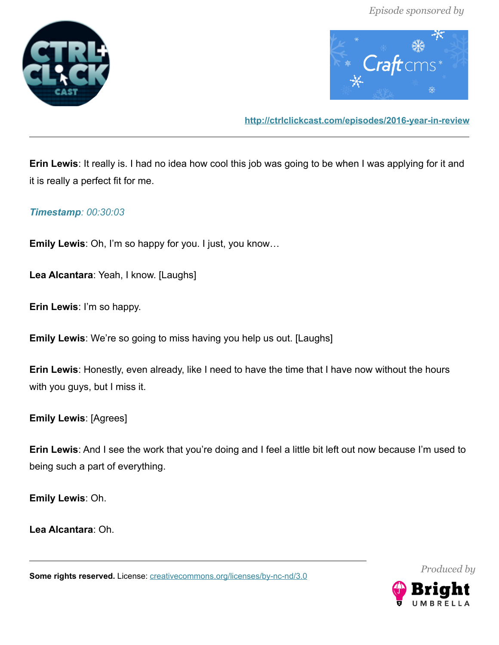



**<http://ctrlclickcast.com/episodes/2016-year-in-review>**

**Erin Lewis**: It really is. I had no idea how cool this job was going to be when I was applying for it and it is really a perfect fit for me.

# *Timestamp: 00:30:03*

**Emily Lewis**: Oh, I'm so happy for you. I just, you know…

**Lea Alcantara**: Yeah, I know. [Laughs]

**Erin Lewis**: I'm so happy.

**Emily Lewis**: We're so going to miss having you help us out. [Laughs]

**Erin Lewis**: Honestly, even already, like I need to have the time that I have now without the hours with you guys, but I miss it.

**Emily Lewis**: [Agrees]

**Erin Lewis**: And I see the work that you're doing and I feel a little bit left out now because I'm used to being such a part of everything.

**Emily Lewis**: Oh.

**Lea Alcantara**: Oh.

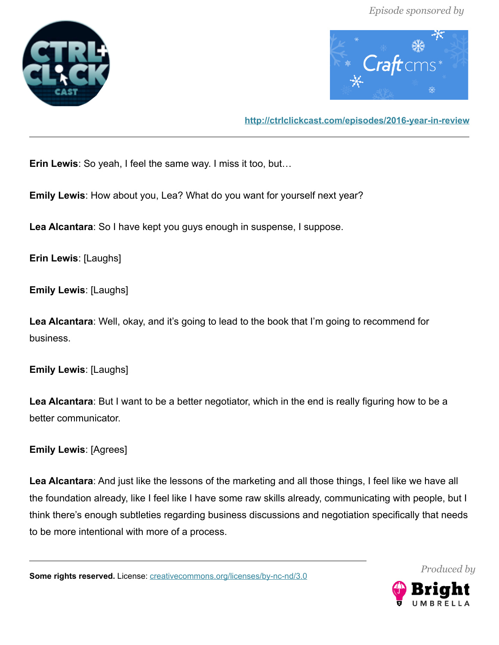



**<http://ctrlclickcast.com/episodes/2016-year-in-review>**

**Erin Lewis**: So yeah, I feel the same way. I miss it too, but…

**Emily Lewis**: How about you, Lea? What do you want for yourself next year?

**Lea Alcantara**: So I have kept you guys enough in suspense, I suppose.

**Erin Lewis**: [Laughs]

**Emily Lewis**: [Laughs]

**Lea Alcantara**: Well, okay, and it's going to lead to the book that I'm going to recommend for business.

**Emily Lewis**: [Laughs]

**Lea Alcantara**: But I want to be a better negotiator, which in the end is really figuring how to be a better communicator.

**Emily Lewis**: [Agrees]

**Lea Alcantara**: And just like the lessons of the marketing and all those things, I feel like we have all the foundation already, like I feel like I have some raw skills already, communicating with people, but I think there's enough subtleties regarding business discussions and negotiation specifically that needs to be more intentional with more of a process.

**Some rights reserved.** License: *creativecommons.org/licenses/by-nc-nd/3.0* 



*Produced by*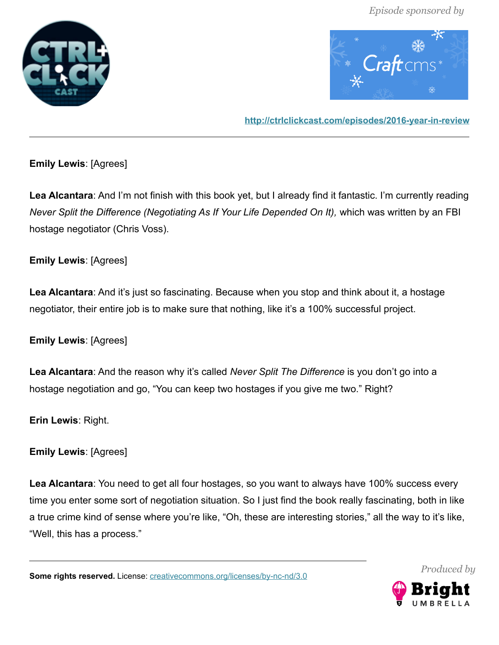



**<http://ctrlclickcast.com/episodes/2016-year-in-review>**

# **Emily Lewis**: [Agrees]

**Lea Alcantara**: And I'm not finish with this book yet, but I already find it fantastic. I'm currently reading *Never Split the Difference (Negotiating As If Your Life Depended On It), which was written by an FBI* hostage negotiator (Chris Voss).

# **Emily Lewis**: [Agrees]

**Lea Alcantara**: And it's just so fascinating. Because when you stop and think about it, a hostage negotiator, their entire job is to make sure that nothing, like it's a 100% successful project.

**Emily Lewis**: [Agrees]

**Lea Alcantara**: And the reason why it's called *Never Split The Difference* is you don't go into a hostage negotiation and go, "You can keep two hostages if you give me two." Right?

**Erin Lewis**: Right.

**Emily Lewis**: [Agrees]

**Lea Alcantara**: You need to get all four hostages, so you want to always have 100% success every time you enter some sort of negotiation situation. So I just find the book really fascinating, both in like a true crime kind of sense where you're like, "Oh, these are interesting stories," all the way to it's like, "Well, this has a process."

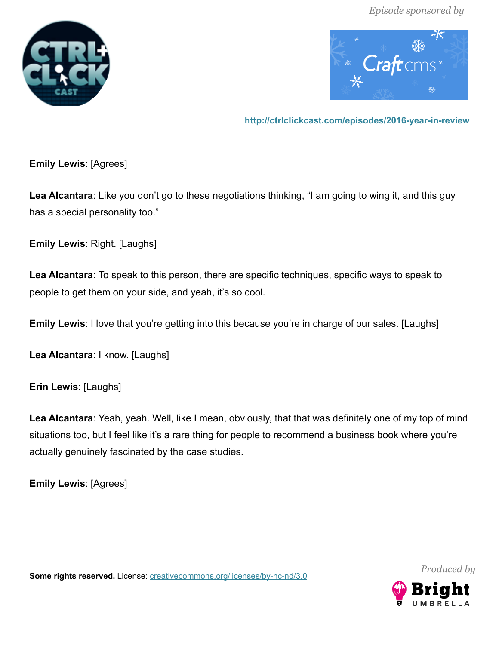



**<http://ctrlclickcast.com/episodes/2016-year-in-review>**

**Emily Lewis**: [Agrees]

**Lea Alcantara**: Like you don't go to these negotiations thinking, "I am going to wing it, and this guy has a special personality too."

**Emily Lewis**: Right. [Laughs]

**Lea Alcantara**: To speak to this person, there are specific techniques, specific ways to speak to people to get them on your side, and yeah, it's so cool.

**Emily Lewis**: I love that you're getting into this because you're in charge of our sales. [Laughs]

**Lea Alcantara**: I know. [Laughs]

**Erin Lewis**: [Laughs]

**Lea Alcantara**: Yeah, yeah. Well, like I mean, obviously, that that was definitely one of my top of mind situations too, but I feel like it's a rare thing for people to recommend a business book where you're actually genuinely fascinated by the case studies.

**Emily Lewis**: [Agrees]

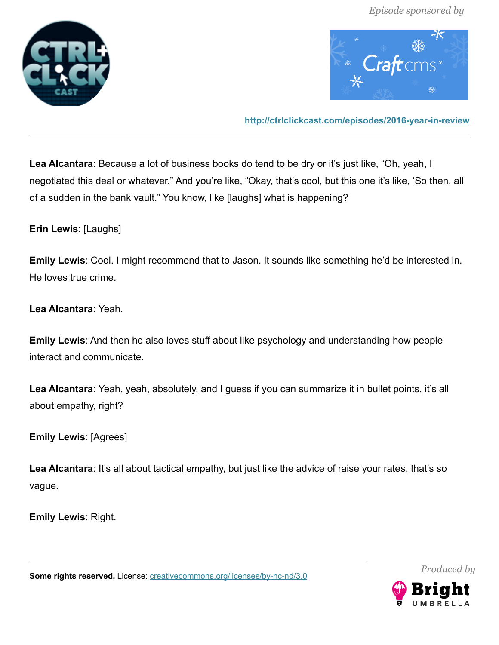



**<http://ctrlclickcast.com/episodes/2016-year-in-review>**

**Lea Alcantara**: Because a lot of business books do tend to be dry or it's just like, "Oh, yeah, I negotiated this deal or whatever." And you're like, "Okay, that's cool, but this one it's like, 'So then, all of a sudden in the bank vault." You know, like [laughs] what is happening?

**Erin Lewis**: [Laughs]

**Emily Lewis**: Cool. I might recommend that to Jason. It sounds like something he'd be interested in. He loves true crime.

**Lea Alcantara**: Yeah.

**Emily Lewis**: And then he also loves stuff about like psychology and understanding how people interact and communicate.

**Lea Alcantara**: Yeah, yeah, absolutely, and I guess if you can summarize it in bullet points, it's all about empathy, right?

**Emily Lewis**: [Agrees]

Lea Alcantara: It's all about tactical empathy, but just like the advice of raise your rates, that's so vague.

**Emily Lewis**: Right.

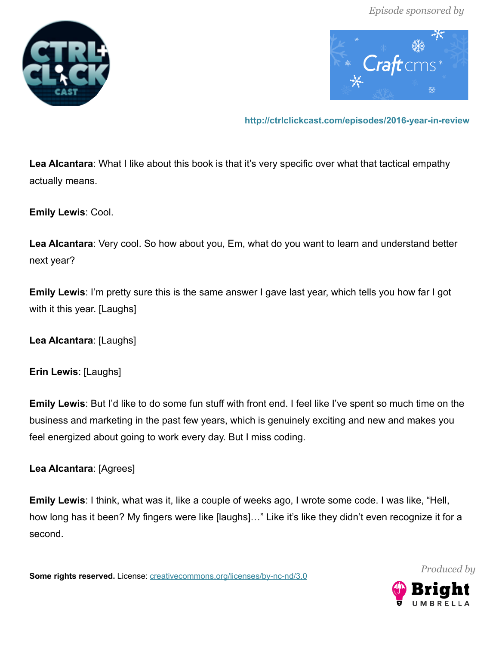



**<http://ctrlclickcast.com/episodes/2016-year-in-review>**

**Lea Alcantara**: What I like about this book is that it's very specific over what that tactical empathy actually means.

**Emily Lewis**: Cool.

**Lea Alcantara**: Very cool. So how about you, Em, what do you want to learn and understand better next year?

**Emily Lewis**: I'm pretty sure this is the same answer I gave last year, which tells you how far I got with it this year. [Laughs]

**Lea Alcantara**: [Laughs]

**Erin Lewis**: [Laughs]

**Emily Lewis**: But I'd like to do some fun stuff with front end. I feel like I've spent so much time on the business and marketing in the past few years, which is genuinely exciting and new and makes you feel energized about going to work every day. But I miss coding.

**Lea Alcantara**: [Agrees]

**Emily Lewis**: I think, what was it, like a couple of weeks ago, I wrote some code. I was like, "Hell, how long has it been? My fingers were like [laughs]…" Like it's like they didn't even recognize it for a second.



*Produced by*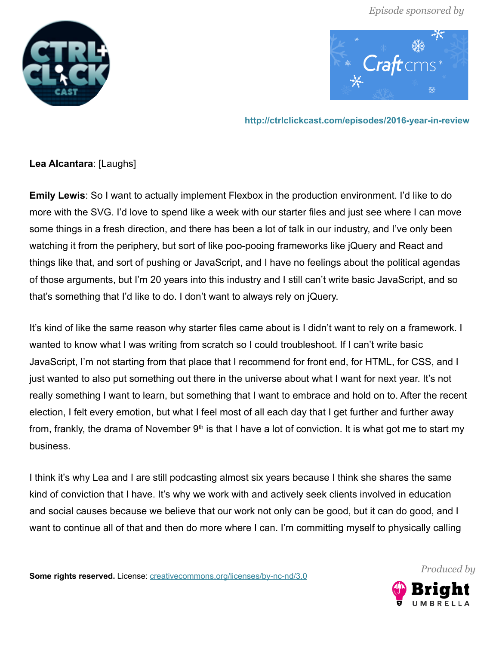



**<http://ctrlclickcast.com/episodes/2016-year-in-review>**

# **Lea Alcantara**: [Laughs]

**Emily Lewis**: So I want to actually implement Flexbox in the production environment. I'd like to do more with the SVG. I'd love to spend like a week with our starter files and just see where I can move some things in a fresh direction, and there has been a lot of talk in our industry, and I've only been watching it from the periphery, but sort of like poo-pooing frameworks like jQuery and React and things like that, and sort of pushing or JavaScript, and I have no feelings about the political agendas of those arguments, but I'm 20 years into this industry and I still can't write basic JavaScript, and so that's something that I'd like to do. I don't want to always rely on jQuery.

It's kind of like the same reason why starter files came about is I didn't want to rely on a framework. I wanted to know what I was writing from scratch so I could troubleshoot. If I can't write basic JavaScript, I'm not starting from that place that I recommend for front end, for HTML, for CSS, and I just wanted to also put something out there in the universe about what I want for next year. It's not really something I want to learn, but something that I want to embrace and hold on to. After the recent election, I felt every emotion, but what I feel most of all each day that I get further and further away from, frankly, the drama of November  $9<sup>th</sup>$  is that I have a lot of conviction. It is what got me to start my business.

I think it's why Lea and I are still podcasting almost six years because I think she shares the same kind of conviction that I have. It's why we work with and actively seek clients involved in education and social causes because we believe that our work not only can be good, but it can do good, and I want to continue all of that and then do more where I can. I'm committing myself to physically calling



*Produced by*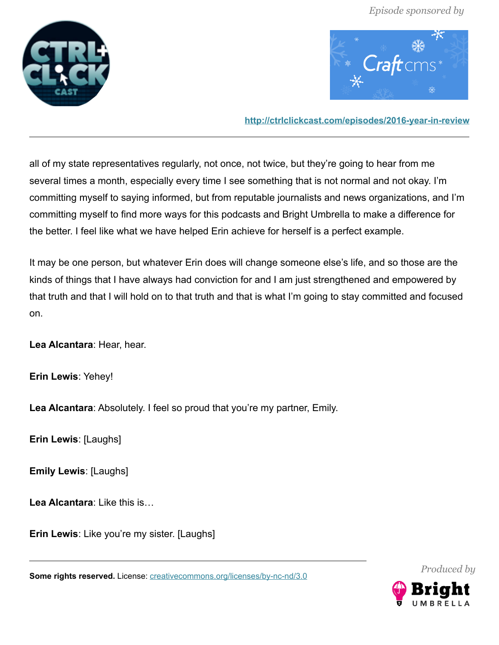



**<http://ctrlclickcast.com/episodes/2016-year-in-review>**

all of my state representatives regularly, not once, not twice, but they're going to hear from me several times a month, especially every time I see something that is not normal and not okay. I'm committing myself to saying informed, but from reputable journalists and news organizations, and I'm committing myself to find more ways for this podcasts and Bright Umbrella to make a difference for the better. I feel like what we have helped Erin achieve for herself is a perfect example.

It may be one person, but whatever Erin does will change someone else's life, and so those are the kinds of things that I have always had conviction for and I am just strengthened and empowered by that truth and that I will hold on to that truth and that is what I'm going to stay committed and focused on.

**Lea Alcantara**: Hear, hear.

**Erin Lewis**: Yehey!

**Lea Alcantara**: Absolutely. I feel so proud that you're my partner, Emily.

**Erin Lewis**: [Laughs]

**Emily Lewis**: [Laughs]

**Lea Alcantara**: Like this is…

**Erin Lewis**: Like you're my sister. [Laughs]

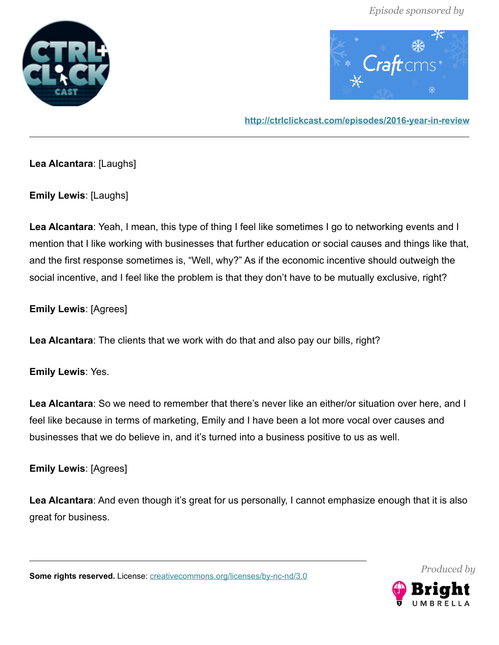



**<http://ctrlclickcast.com/episodes/2016-year-in-review>**

**Lea Alcantara**: [Laughs]

**Emily Lewis**: [Laughs]

**Lea Alcantara**: Yeah, I mean, this type of thing I feel like sometimes I go to networking events and I mention that I like working with businesses that further education or social causes and things like that, and the first response sometimes is, "Well, why?" As if the economic incentive should outweigh the social incentive, and I feel like the problem is that they don't have to be mutually exclusive, right?

**Emily Lewis**: [Agrees]

**Lea Alcantara**: The clients that we work with do that and also pay our bills, right?

**Emily Lewis**: Yes.

**Lea Alcantara**: So we need to remember that there's never like an either/or situation over here, and I feel like because in terms of marketing, Emily and I have been a lot more vocal over causes and businesses that we do believe in, and it's turned into a business positive to us as well.

**Emily Lewis**: [Agrees]

**Lea Alcantara**: And even though it's great for us personally, I cannot emphasize enough that it is also great for business.

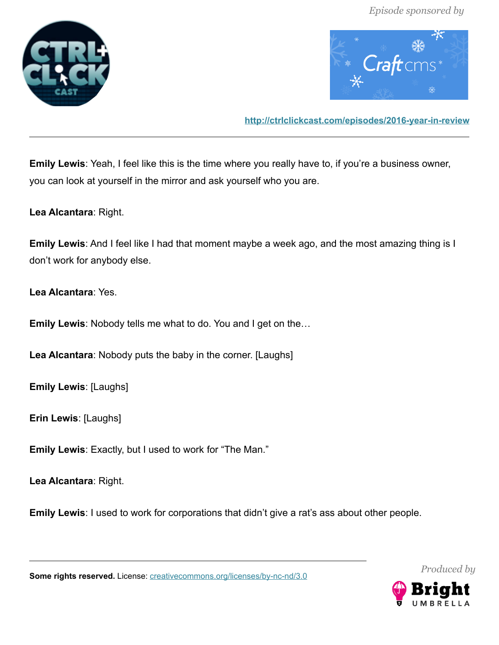



**<http://ctrlclickcast.com/episodes/2016-year-in-review>**

**Emily Lewis**: Yeah, I feel like this is the time where you really have to, if you're a business owner, you can look at yourself in the mirror and ask yourself who you are.

**Lea Alcantara**: Right.

**Emily Lewis**: And I feel like I had that moment maybe a week ago, and the most amazing thing is I don't work for anybody else.

**Lea Alcantara**: Yes.

**Emily Lewis**: Nobody tells me what to do. You and I get on the…

**Lea Alcantara**: Nobody puts the baby in the corner. [Laughs]

**Emily Lewis**: [Laughs]

**Erin Lewis**: [Laughs]

**Emily Lewis**: Exactly, but I used to work for "The Man."

**Lea Alcantara**: Right.

**Emily Lewis**: I used to work for corporations that didn't give a rat's ass about other people.

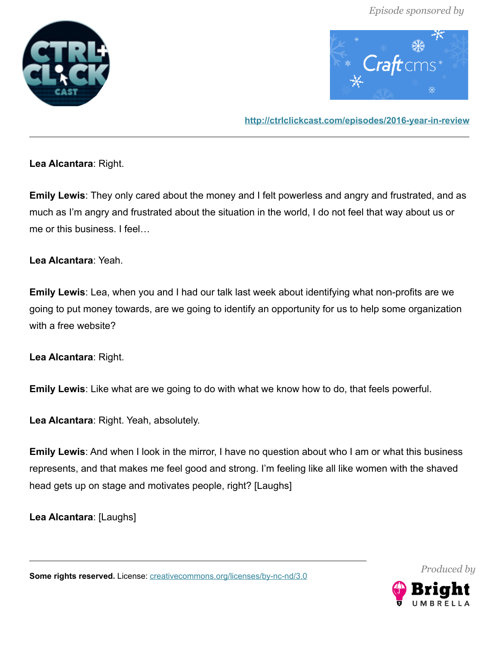



**<http://ctrlclickcast.com/episodes/2016-year-in-review>**

**Lea Alcantara**: Right.

**Emily Lewis**: They only cared about the money and I felt powerless and angry and frustrated, and as much as I'm angry and frustrated about the situation in the world, I do not feel that way about us or me or this business. I feel…

#### **Lea Alcantara**: Yeah.

**Emily Lewis**: Lea, when you and I had our talk last week about identifying what non-profits are we going to put money towards, are we going to identify an opportunity for us to help some organization with a free website?

**Lea Alcantara**: Right.

**Emily Lewis**: Like what are we going to do with what we know how to do, that feels powerful.

**Lea Alcantara**: Right. Yeah, absolutely.

**Emily Lewis**: And when I look in the mirror, I have no question about who I am or what this business represents, and that makes me feel good and strong. I'm feeling like all like women with the shaved head gets up on stage and motivates people, right? [Laughs]

**Lea Alcantara**: [Laughs]



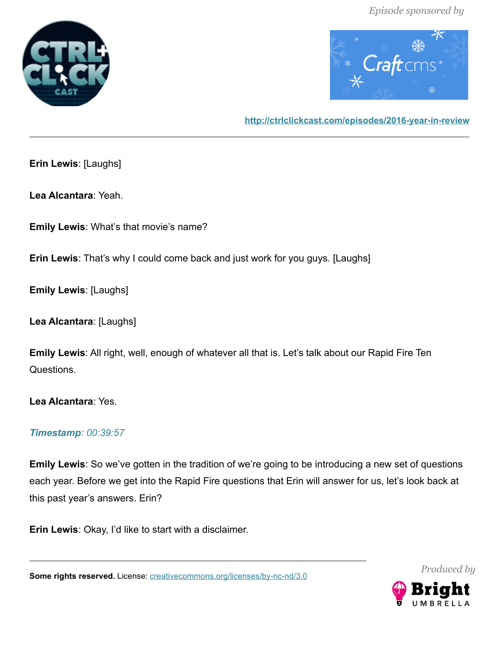



**<http://ctrlclickcast.com/episodes/2016-year-in-review>**

**Erin Lewis**: [Laughs]

**Lea Alcantara**: Yeah.

**Emily Lewis**: What's that movie's name?

**Erin Lewis**: That's why I could come back and just work for you guys. [Laughs]

**Emily Lewis**: [Laughs]

**Lea Alcantara**: [Laughs]

**Emily Lewis**: All right, well, enough of whatever all that is. Let's talk about our Rapid Fire Ten Questions.

**Lea Alcantara**: Yes.

#### *Timestamp: 00:39:57*

**Emily Lewis**: So we've gotten in the tradition of we're going to be introducing a new set of questions each year. Before we get into the Rapid Fire questions that Erin will answer for us, let's look back at this past year's answers. Erin?

**Erin Lewis**: Okay, I'd like to start with a disclaimer.

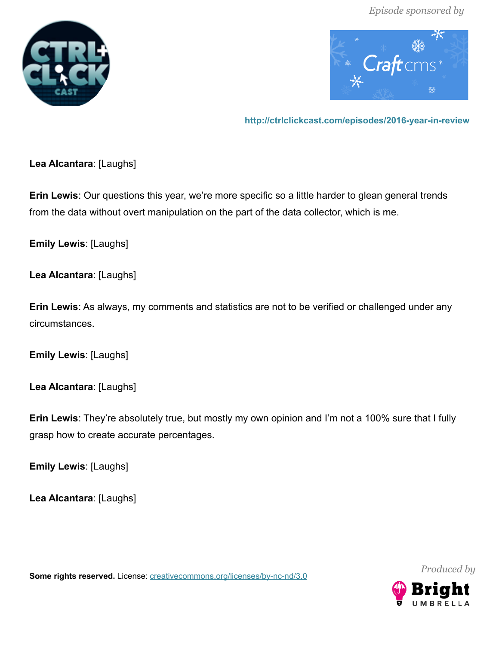



**<http://ctrlclickcast.com/episodes/2016-year-in-review>**

**Lea Alcantara**: [Laughs]

**Erin Lewis**: Our questions this year, we're more specific so a little harder to glean general trends from the data without overt manipulation on the part of the data collector, which is me.

**Emily Lewis**: [Laughs]

**Lea Alcantara**: [Laughs]

**Erin Lewis**: As always, my comments and statistics are not to be verified or challenged under any circumstances.

**Emily Lewis**: [Laughs]

**Lea Alcantara**: [Laughs]

**Erin Lewis**: They're absolutely true, but mostly my own opinion and I'm not a 100% sure that I fully grasp how to create accurate percentages.

**Emily Lewis**: [Laughs]

**Lea Alcantara**: [Laughs]

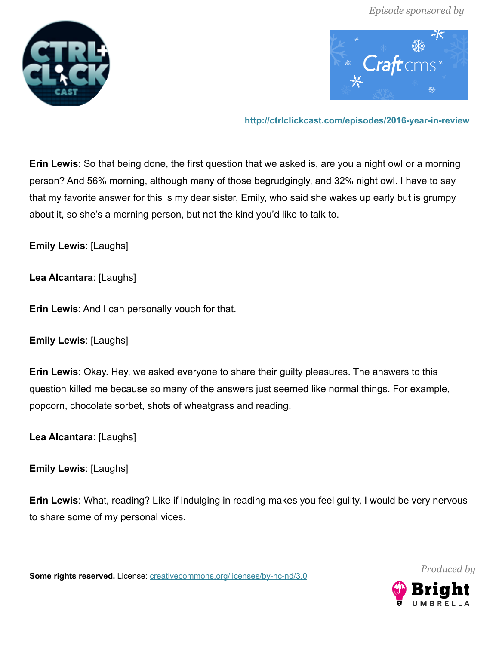



**<http://ctrlclickcast.com/episodes/2016-year-in-review>**

**Erin Lewis**: So that being done, the first question that we asked is, are you a night owl or a morning person? And 56% morning, although many of those begrudgingly, and 32% night owl. I have to say that my favorite answer for this is my dear sister, Emily, who said she wakes up early but is grumpy about it, so she's a morning person, but not the kind you'd like to talk to.

**Emily Lewis**: [Laughs]

**Lea Alcantara**: [Laughs]

**Erin Lewis**: And I can personally vouch for that.

**Emily Lewis**: [Laughs]

**Erin Lewis**: Okay. Hey, we asked everyone to share their guilty pleasures. The answers to this question killed me because so many of the answers just seemed like normal things. For example, popcorn, chocolate sorbet, shots of wheatgrass and reading.

**Lea Alcantara**: [Laughs]

**Emily Lewis**: [Laughs]

**Erin Lewis**: What, reading? Like if indulging in reading makes you feel guilty, I would be very nervous to share some of my personal vices.

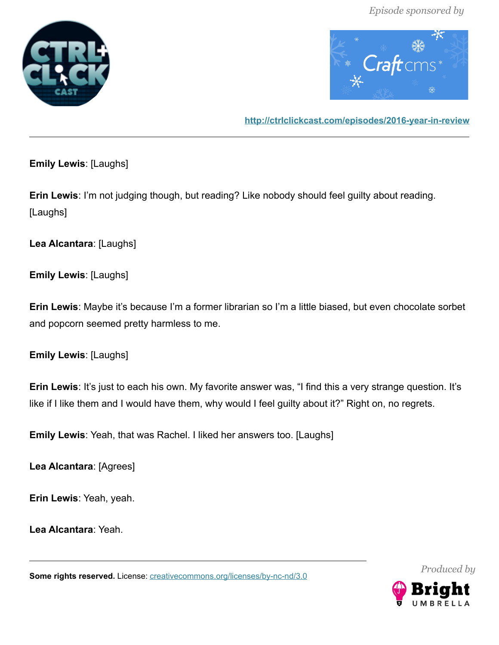



**<http://ctrlclickcast.com/episodes/2016-year-in-review>**

**Emily Lewis**: [Laughs]

**Erin Lewis**: I'm not judging though, but reading? Like nobody should feel guilty about reading. [Laughs]

**Lea Alcantara**: [Laughs]

**Emily Lewis**: [Laughs]

**Erin Lewis**: Maybe it's because I'm a former librarian so I'm a little biased, but even chocolate sorbet and popcorn seemed pretty harmless to me.

**Emily Lewis**: [Laughs]

**Erin Lewis**: It's just to each his own. My favorite answer was, "I find this a very strange question. It's like if I like them and I would have them, why would I feel guilty about it?" Right on, no regrets.

**Emily Lewis**: Yeah, that was Rachel. I liked her answers too. [Laughs]

**Lea Alcantara**: [Agrees]

**Erin Lewis**: Yeah, yeah.

**Lea Alcantara**: Yeah.

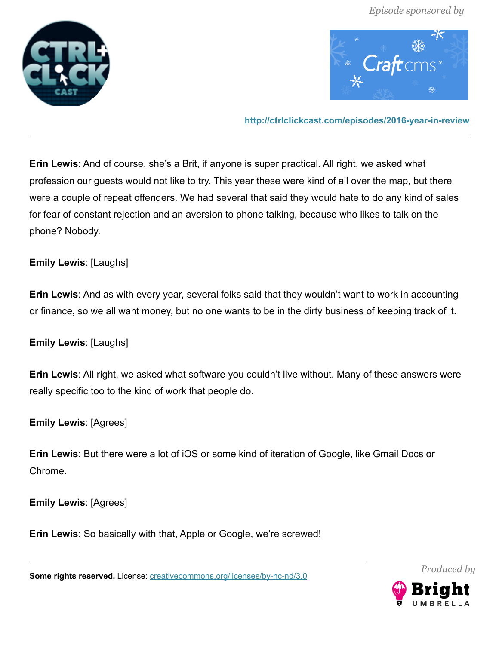



**<http://ctrlclickcast.com/episodes/2016-year-in-review>**

**Erin Lewis**: And of course, she's a Brit, if anyone is super practical. All right, we asked what profession our guests would not like to try. This year these were kind of all over the map, but there were a couple of repeat offenders. We had several that said they would hate to do any kind of sales for fear of constant rejection and an aversion to phone talking, because who likes to talk on the phone? Nobody.

### **Emily Lewis**: [Laughs]

**Erin Lewis**: And as with every year, several folks said that they wouldn't want to work in accounting or finance, so we all want money, but no one wants to be in the dirty business of keeping track of it.

#### **Emily Lewis**: [Laughs]

**Erin Lewis**: All right, we asked what software you couldn't live without. Many of these answers were really specific too to the kind of work that people do.

#### **Emily Lewis**: [Agrees]

**Erin Lewis**: But there were a lot of iOS or some kind of iteration of Google, like Gmail Docs or Chrome.

**Emily Lewis**: [Agrees]

**Erin Lewis**: So basically with that, Apple or Google, we're screwed!

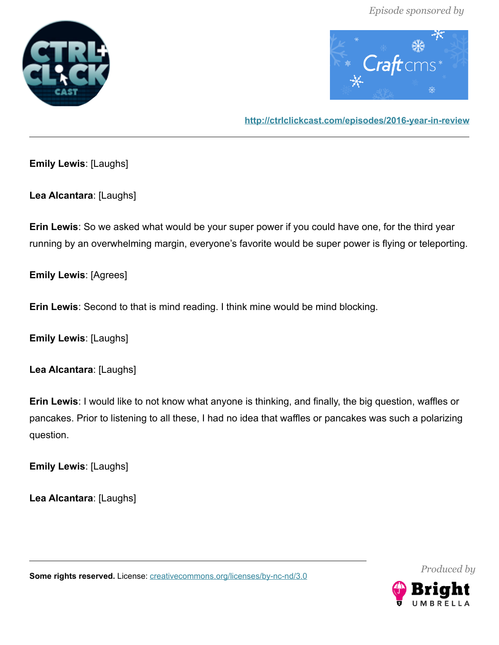



**<http://ctrlclickcast.com/episodes/2016-year-in-review>**

**Emily Lewis**: [Laughs]

**Lea Alcantara**: [Laughs]

**Erin Lewis**: So we asked what would be your super power if you could have one, for the third year running by an overwhelming margin, everyone's favorite would be super power is flying or teleporting.

**Emily Lewis**: [Agrees]

**Erin Lewis**: Second to that is mind reading. I think mine would be mind blocking.

**Emily Lewis**: [Laughs]

**Lea Alcantara**: [Laughs]

**Erin Lewis**: I would like to not know what anyone is thinking, and finally, the big question, waffles or pancakes. Prior to listening to all these, I had no idea that waffles or pancakes was such a polarizing question.

**Emily Lewis**: [Laughs]

**Lea Alcantara**: [Laughs]

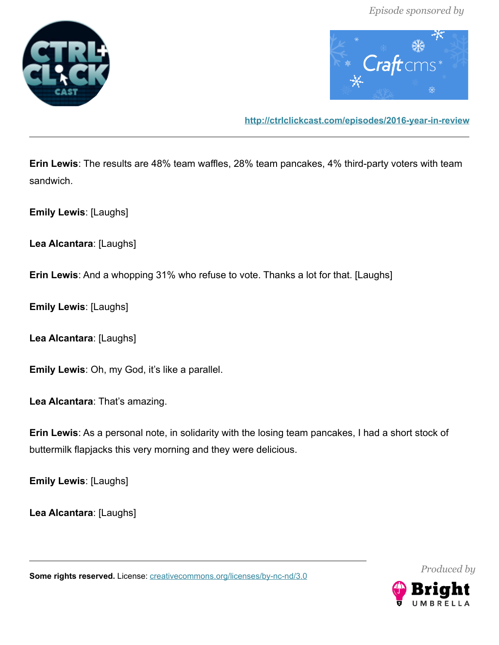



**<http://ctrlclickcast.com/episodes/2016-year-in-review>**

**Erin Lewis**: The results are 48% team waffles, 28% team pancakes, 4% third-party voters with team sandwich.

**Emily Lewis**: [Laughs]

**Lea Alcantara**: [Laughs]

**Erin Lewis**: And a whopping 31% who refuse to vote. Thanks a lot for that. [Laughs]

**Emily Lewis**: [Laughs]

**Lea Alcantara**: [Laughs]

**Emily Lewis**: Oh, my God, it's like a parallel.

**Lea Alcantara**: That's amazing.

**Erin Lewis**: As a personal note, in solidarity with the losing team pancakes, I had a short stock of buttermilk flapjacks this very morning and they were delicious.

**Emily Lewis**: [Laughs]

**Lea Alcantara**: [Laughs]

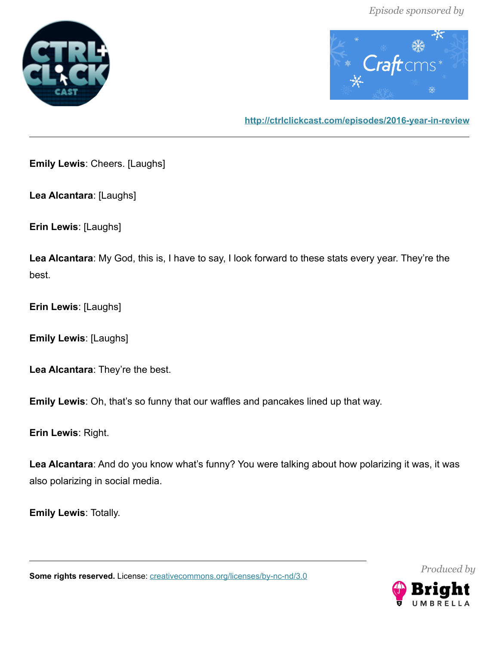



**<http://ctrlclickcast.com/episodes/2016-year-in-review>**

**Emily Lewis**: Cheers. [Laughs]

**Lea Alcantara**: [Laughs]

**Erin Lewis**: [Laughs]

**Lea Alcantara**: My God, this is, I have to say, I look forward to these stats every year. They're the best.

**Erin Lewis**: [Laughs]

**Emily Lewis**: [Laughs]

**Lea Alcantara**: They're the best.

**Emily Lewis**: Oh, that's so funny that our waffles and pancakes lined up that way.

**Erin Lewis**: Right.

**Lea Alcantara**: And do you know what's funny? You were talking about how polarizing it was, it was also polarizing in social media.

**Emily Lewis**: Totally.

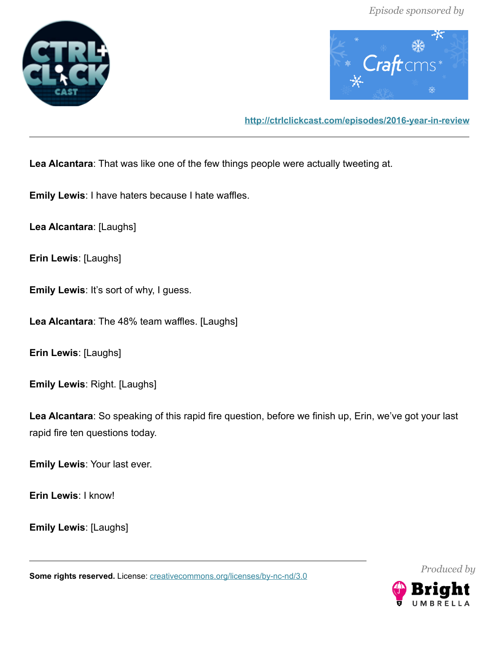



**<http://ctrlclickcast.com/episodes/2016-year-in-review>**

**Lea Alcantara**: That was like one of the few things people were actually tweeting at.

**Emily Lewis**: I have haters because I hate waffles.

**Lea Alcantara**: [Laughs]

**Erin Lewis**: [Laughs]

**Emily Lewis**: It's sort of why, I guess.

**Lea Alcantara**: The 48% team waffles. [Laughs]

**Erin Lewis**: [Laughs]

**Emily Lewis**: Right. [Laughs]

**Lea Alcantara**: So speaking of this rapid fire question, before we finish up, Erin, we've got your last rapid fire ten questions today.

**Emily Lewis**: Your last ever.

**Erin Lewis**: I know!

**Emily Lewis**: [Laughs]

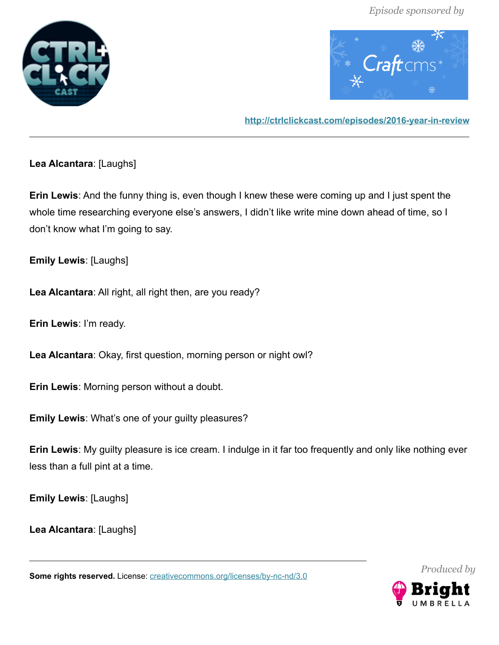



**<http://ctrlclickcast.com/episodes/2016-year-in-review>**

# **Lea Alcantara**: [Laughs]

**Erin Lewis**: And the funny thing is, even though I knew these were coming up and I just spent the whole time researching everyone else's answers, I didn't like write mine down ahead of time, so I don't know what I'm going to say.

**Emily Lewis**: [Laughs]

**Lea Alcantara**: All right, all right then, are you ready?

**Erin Lewis**: I'm ready.

**Lea Alcantara**: Okay, first question, morning person or night owl?

**Erin Lewis**: Morning person without a doubt.

**Emily Lewis**: What's one of your guilty pleasures?

**Erin Lewis**: My guilty pleasure is ice cream. I indulge in it far too frequently and only like nothing ever less than a full pint at a time.

**Emily Lewis**: [Laughs]

**Lea Alcantara**: [Laughs]

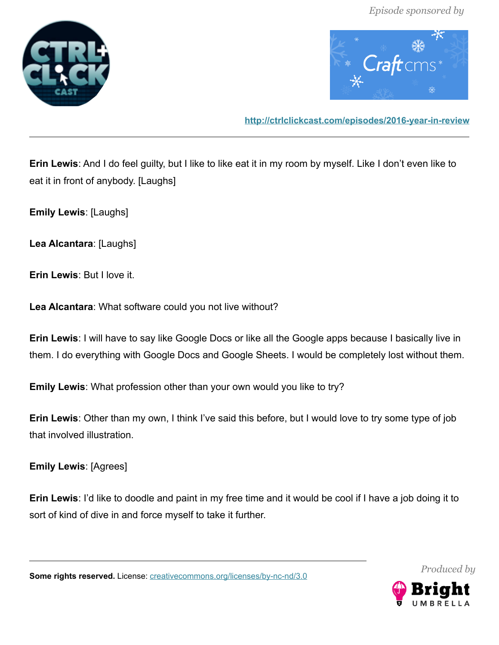



**<http://ctrlclickcast.com/episodes/2016-year-in-review>**

**Erin Lewis**: And I do feel guilty, but I like to like eat it in my room by myself. Like I don't even like to eat it in front of anybody. [Laughs]

**Emily Lewis**: [Laughs]

**Lea Alcantara**: [Laughs]

**Erin Lewis**: But I love it.

**Lea Alcantara**: What software could you not live without?

**Erin Lewis**: I will have to say like Google Docs or like all the Google apps because I basically live in them. I do everything with Google Docs and Google Sheets. I would be completely lost without them.

**Emily Lewis**: What profession other than your own would you like to try?

**Erin Lewis**: Other than my own, I think I've said this before, but I would love to try some type of job that involved illustration.

**Emily Lewis**: [Agrees]

**Erin Lewis**: I'd like to doodle and paint in my free time and it would be cool if I have a job doing it to sort of kind of dive in and force myself to take it further.

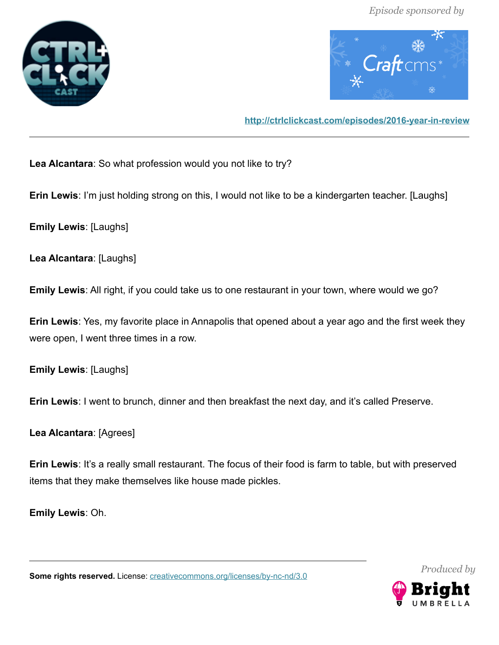



**<http://ctrlclickcast.com/episodes/2016-year-in-review>**

**Lea Alcantara**: So what profession would you not like to try?

**Erin Lewis**: I'm just holding strong on this, I would not like to be a kindergarten teacher. [Laughs]

**Emily Lewis**: [Laughs]

**Lea Alcantara**: [Laughs]

**Emily Lewis**: All right, if you could take us to one restaurant in your town, where would we go?

**Erin Lewis**: Yes, my favorite place in Annapolis that opened about a year ago and the first week they were open, I went three times in a row.

**Emily Lewis**: [Laughs]

**Erin Lewis**: I went to brunch, dinner and then breakfast the next day, and it's called Preserve.

**Lea Alcantara**: [Agrees]

**Erin Lewis**: It's a really small restaurant. The focus of their food is farm to table, but with preserved items that they make themselves like house made pickles.

**Emily Lewis**: Oh.

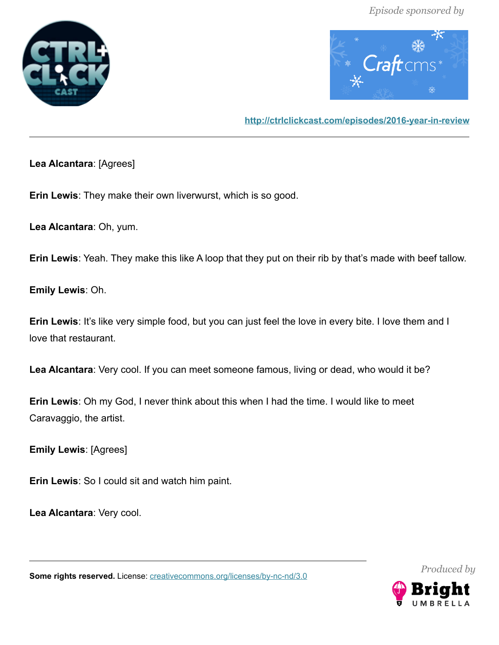



**<http://ctrlclickcast.com/episodes/2016-year-in-review>**

**Lea Alcantara**: [Agrees]

**Erin Lewis**: They make their own liverwurst, which is so good.

**Lea Alcantara**: Oh, yum.

**Erin Lewis**: Yeah. They make this like A loop that they put on their rib by that's made with beef tallow.

**Emily Lewis**: Oh.

**Erin Lewis**: It's like very simple food, but you can just feel the love in every bite. I love them and I love that restaurant.

**Lea Alcantara**: Very cool. If you can meet someone famous, living or dead, who would it be?

**Erin Lewis**: Oh my God, I never think about this when I had the time. I would like to meet Caravaggio, the artist.

**Emily Lewis**: [Agrees]

**Erin Lewis**: So I could sit and watch him paint.

**Lea Alcantara**: Very cool.

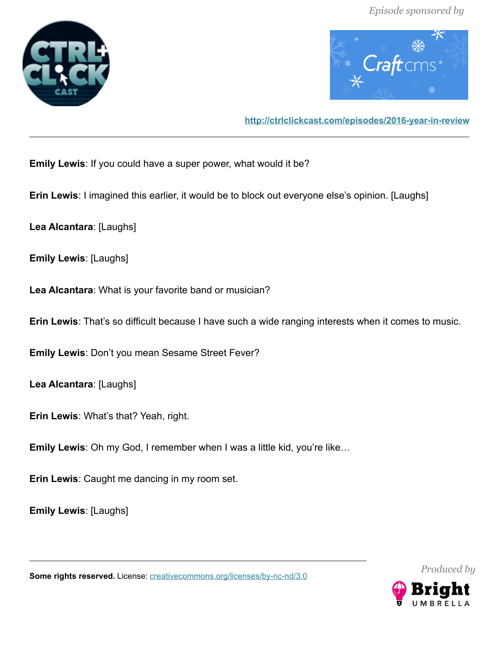



**<http://ctrlclickcast.com/episodes/2016-year-in-review>**

**Emily Lewis**: If you could have a super power, what would it be?

**Erin Lewis**: I imagined this earlier, it would be to block out everyone else's opinion. [Laughs]

**Lea Alcantara**: [Laughs]

**Emily Lewis**: [Laughs]

**Lea Alcantara**: What is your favorite band or musician?

**Erin Lewis**: That's so difficult because I have such a wide ranging interests when it comes to music.

**Emily Lewis**: Don't you mean Sesame Street Fever?

**Lea Alcantara**: [Laughs]

**Erin Lewis**: What's that? Yeah, right.

**Emily Lewis**: Oh my God, I remember when I was a little kid, you're like…

**Erin Lewis**: Caught me dancing in my room set.

**Emily Lewis**: [Laughs]

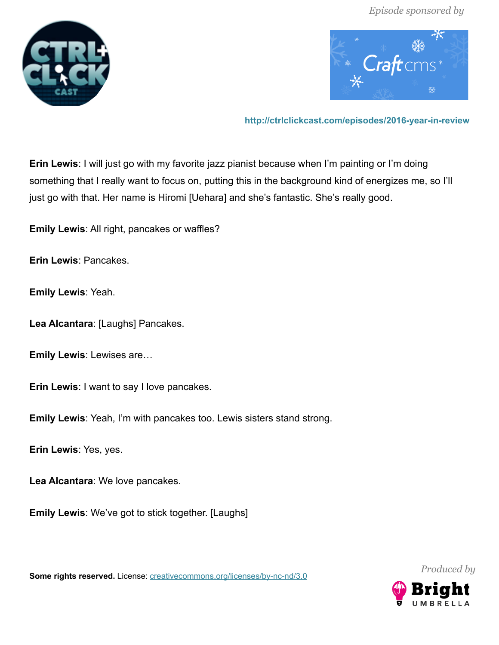



**<http://ctrlclickcast.com/episodes/2016-year-in-review>**

**Erin Lewis**: I will just go with my favorite jazz pianist because when I'm painting or I'm doing something that I really want to focus on, putting this in the background kind of energizes me, so I'll just go with that. Her name is Hiromi [Uehara] and she's fantastic. She's really good.

**Emily Lewis**: All right, pancakes or waffles?

**Erin Lewis**: Pancakes.

**Emily Lewis**: Yeah.

**Lea Alcantara**: [Laughs] Pancakes.

**Emily Lewis**: Lewises are…

**Erin Lewis**: I want to say I love pancakes.

**Emily Lewis**: Yeah, I'm with pancakes too. Lewis sisters stand strong.

**Erin Lewis**: Yes, yes.

**Lea Alcantara**: We love pancakes.

**Emily Lewis**: We've got to stick together. [Laughs]

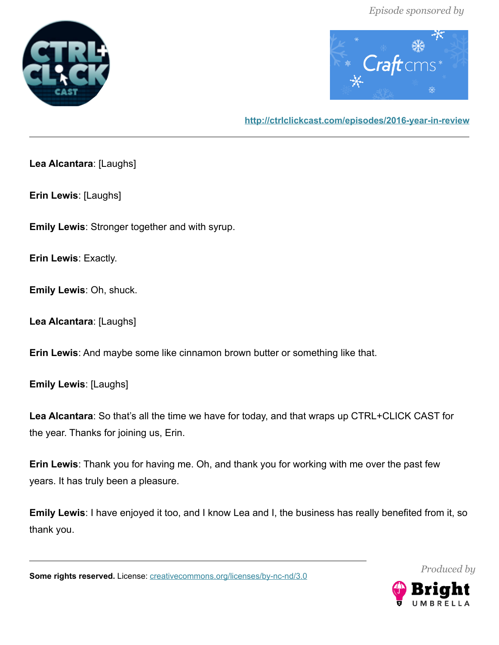



**<http://ctrlclickcast.com/episodes/2016-year-in-review>**

**Lea Alcantara**: [Laughs]

**Erin Lewis**: [Laughs]

**Emily Lewis**: Stronger together and with syrup.

**Erin Lewis**: Exactly.

**Emily Lewis**: Oh, shuck.

**Lea Alcantara**: [Laughs]

**Erin Lewis**: And maybe some like cinnamon brown butter or something like that.

**Emily Lewis**: [Laughs]

**Lea Alcantara**: So that's all the time we have for today, and that wraps up CTRL+CLICK CAST for the year. Thanks for joining us, Erin.

**Erin Lewis**: Thank you for having me. Oh, and thank you for working with me over the past few years. It has truly been a pleasure.

**Emily Lewis**: I have enjoyed it too, and I know Lea and I, the business has really benefited from it, so thank you.

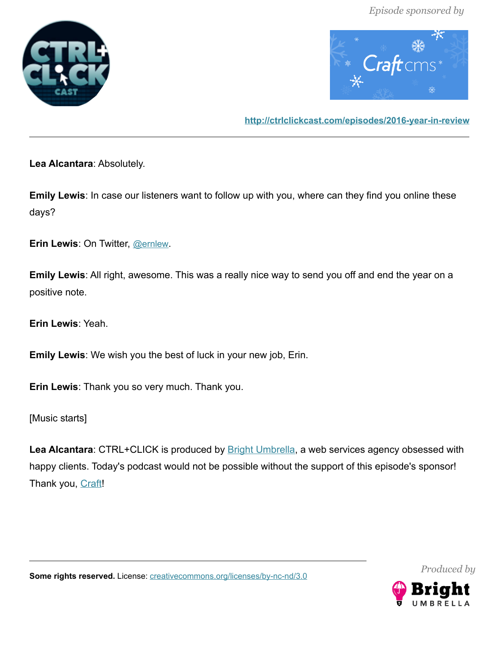



**<http://ctrlclickcast.com/episodes/2016-year-in-review>**

**Lea Alcantara**: Absolutely.

**Emily Lewis**: In case our listeners want to follow up with you, where can they find you online these days?

**Erin Lewis**: On Twitter, [@ernlew](http://twitter.com/ernlew).

**Emily Lewis**: All right, awesome. This was a really nice way to send you off and end the year on a positive note.

**Erin Lewis**: Yeah.

**Emily Lewis**: We wish you the best of luck in your new job, Erin.

**Erin Lewis**: Thank you so very much. Thank you.

[Music starts]

Lea Alcantara: CTRL+CLICK is produced by **Bright Umbrella**, a web services agency obsessed with happy clients. Today's podcast would not be possible without the support of this episode's sponsor! Thank you, [Craft!](https://craftcms.com/)